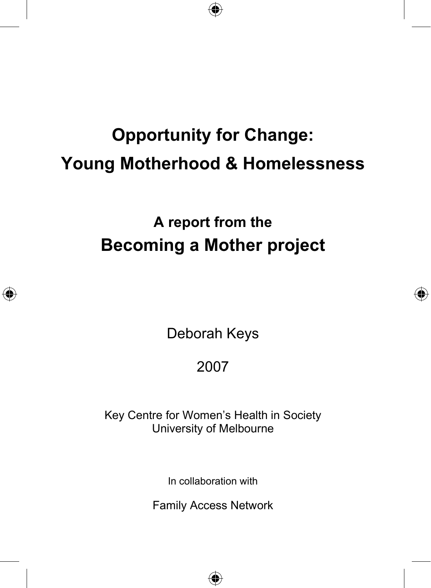# **Opportunity for Change: Young Motherhood & Homelessness**

⊕

**A report from the Becoming a Mother project** 

Deborah Keys

◈

⊕

## 2007

Key Centre for Women's Health in Society University of Melbourne

In collaboration with

Family Access Network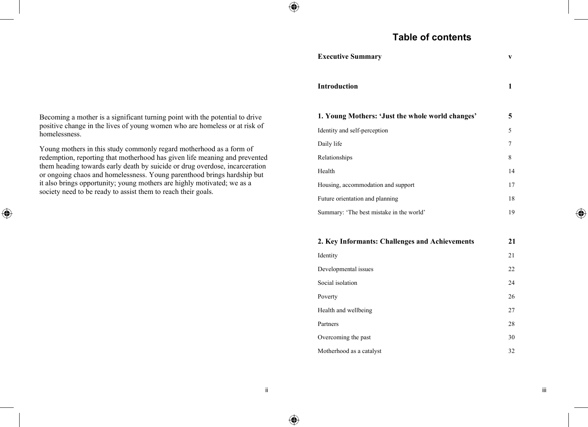## **Table of contents**

| <b>Executive Summary</b>                         | V  |
|--------------------------------------------------|----|
| <b>Introduction</b>                              | 1  |
| 1. Young Mothers: 'Just the whole world changes' | 5  |
| Identity and self-perception                     | 5  |
| Daily life                                       | 7  |
| Relationships                                    | 8  |
| Health                                           | 14 |
| Housing, accommodation and support               | 17 |
| Future orientation and planning                  | 18 |
| Summary: 'The best mistake in the world'         | 19 |
|                                                  |    |
| 2. Key Informants: Challenges and Achievements   | 21 |
| <b>Idontity</b>                                  | 21 |

| 2. Rey Informants: Chanenges and Achievements | 41 |
|-----------------------------------------------|----|
| Identity                                      | 21 |
| Developmental issues                          | 22 |
| Social isolation                              | 24 |
| Poverty                                       | 26 |
| Health and wellbeing                          | 27 |
| Partners                                      | 28 |
| Overcoming the past                           | 30 |
| Motherhood as a catalyst                      | 32 |
|                                               |    |

Becoming a mother is a significant turning point with the potential to drive positive change in the lives of young women who are homeless or at risk of homelessness.

Young mothers in this study commonly regard motherhood as a form of redemption, reporting that motherhood has given life meaning and prevented them heading towards early death by suicide or drug overdose, incarceration or ongoing chaos and homelessness. Young parenthood brings hardship but it also brings opportunity; young mothers are highly motivated; we as a society need to be ready to assist them to reach their goals.

 $\bigoplus$ 

⊕

⊕

◈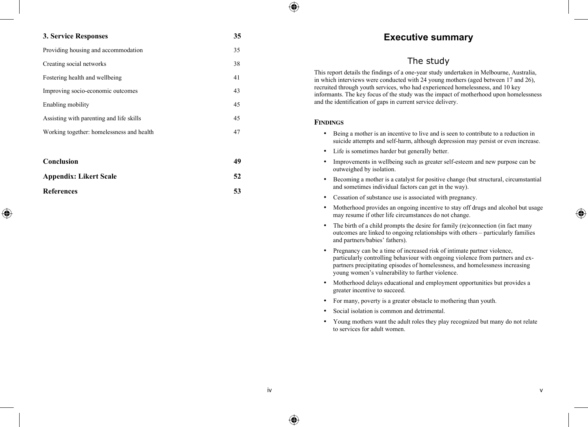#### **3. Service Responses 35**

⊕

| Providing housing and accommodation       | 35 |
|-------------------------------------------|----|
| Creating social networks                  | 38 |
| Fostering health and wellbeing            | 41 |
| Improving socio-economic outcomes         | 43 |
| Enabling mobility                         | 45 |
| Assisting with parenting and life skills  | 45 |
| Working together: homelessness and health | 47 |
|                                           |    |
|                                           |    |

| Conclusion             | 49 |
|------------------------|----|
| Appendix: Likert Scale | 52 |
| References             | 53 |

## **Executive summary**

## The study

This report details the findings of a one-year study undertaken in Melbourne, Australia, in which interviews were conducted with 24 young mothers (aged between 17 and 26), recruited through youth services, who had experienced homelessness, and 10 key informants. The key focus of the study was the impact of motherhood upon homelessness and the identification of gaps in current service delivery.

#### **FINDINGS**

⊕

- Being a mother is an incentive to live and is seen to contribute to a reduction in suicide attempts and self-harm, although depression may persist or even increase.
- Life is sometimes harder but generally better.
- Improvements in wellbeing such as greater self-esteem and new purpose can be outweighed by isolation.
- Becoming a mother is a catalyst for positive change (but structural, circumstantial and sometimes individual factors can get in the way).
- Cessation of substance use is associated with pregnancy.
- Motherhood provides an ongoing incentive to stay off drugs and alcohol but usage may resume if other life circumstances do not change.
- The birth of a child prompts the desire for family (re)connection (in fact many outcomes are linked to ongoing relationships with others – particularly families and partners/babies' fathers).
- Pregnancy can be a time of increased risk of intimate partner violence, particularly controlling behaviour with ongoing violence from partners and expartners precipitating episodes of homelessness, and homelessness increasing young women's vulnerability to further violence.
- Motherhood delays educational and employment opportunities but provides a greater incentive to succeed.
- For many, poverty is a greater obstacle to mothering than youth.
- Social isolation is common and detrimental.
- Young mothers want the adult roles they play recognized but many do not relate to services for adult women.

⊕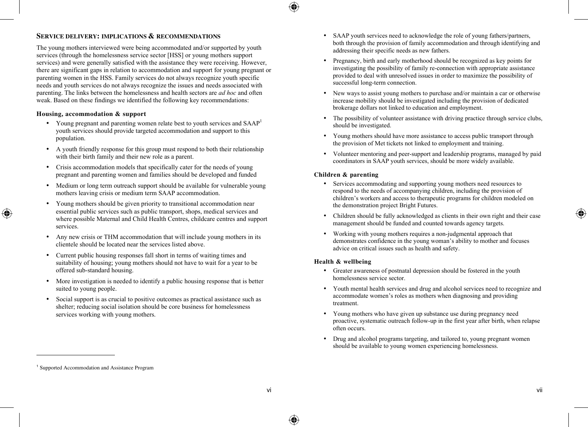## 企

### **SERVICE DELIVERY: IMPLICATIONS & RECOMMENDATIONS**

The young mothers interviewed were being accommodated and/or supported by youth services (through the homelessness service sector [HSS] or young mothers support services) and were generally satisfied with the assistance they were receiving. However, there are significant gaps in relation to accommodation and support for young pregnant or parenting women in the HSS. Family services do not always recognize youth specific needs and youth services do not always recognize the issues and needs associated with parenting. The links between the homelessness and health sectors are *ad hoc* and often weak. Based on these findings we identified the following key recommendations:

#### **Housing, accommodation & support**

- Young pregnant and parenting women relate best to youth services and SAAP<sup>1</sup> youth services should provide targeted accommodation and support to this population.
- A youth friendly response for this group must respond to both their relationship with their birth family and their new role as a parent.
- Crisis accommodation models that specifically cater for the needs of young pregnant and parenting women and families should be developed and funded
- Medium or long term outreach support should be available for vulnerable young mothers leaving crisis or medium term SAAP accommodation.
- Young mothers should be given priority to transitional accommodation near essential public services such as public transport, shops, medical services and where possible Maternal and Child Health Centres, childcare centres and support services.
- Any new crisis or THM accommodation that will include young mothers in its clientele should be located near the services listed above.
- Current public housing responses fall short in terms of waiting times and suitability of housing; young mothers should not have to wait for a year to be offered sub-standard housing.
- More investigation is needed to identify a public housing response that is better suited to young people.
- Social support is as crucial to positive outcomes as practical assistance such as shelter; reducing social isolation should be core business for homelessness services working with young mothers.
- SAAP youth services need to acknowledge the role of young fathers/partners, both through the provision of family accommodation and through identifying and addressing their specific needs as new fathers.
- Pregnancy, birth and early motherhood should be recognized as key points for investigating the possibility of family re-connection with appropriate assistance provided to deal with unresolved issues in order to maximize the possibility of successful long-term connection.
- New ways to assist young mothers to purchase and/or maintain a car or otherwise increase mobility should be investigated including the provision of dedicated brokerage dollars not linked to education and employment.
- The possibility of volunteer assistance with driving practice through service clubs, should be investigated.
- Young mothers should have more assistance to access public transport through the provision of Met tickets not linked to employment and training.
- Volunteer mentoring and peer-support and leadership programs, managed by paid coordinators in SAAP youth services, should be more widely available.

#### **Children & parenting**

- Services accommodating and supporting young mothers need resources to respond to the needs of accompanying children, including the provision of children's workers and access to therapeutic programs for children modeled on the demonstration project Bright Futures.
- Children should be fully acknowledged as clients in their own right and their case management should be funded and counted towards agency targets.
- Working with young mothers requires a non-judgmental approach that demonstrates confidence in the young woman's ability to mother and focuses advice on critical issues such as health and safety.

#### **Health & wellbeing**

- Greater awareness of postnatal depression should be fostered in the youth homelessness service sector.
- Youth mental health services and drug and alcohol services need to recognize and accommodate women's roles as mothers when diagnosing and providing treatment.
- Young mothers who have given up substance use during pregnancy need proactive, systematic outreach follow-up in the first year after birth, when relapse often occurs.
- Drug and alcohol programs targeting, and tailored to, young pregnant women should be available to young women experiencing homelessness.

 $\overline{a}$ 

◈

⊕

<sup>1</sup> Supported Accommodation and Assistance Program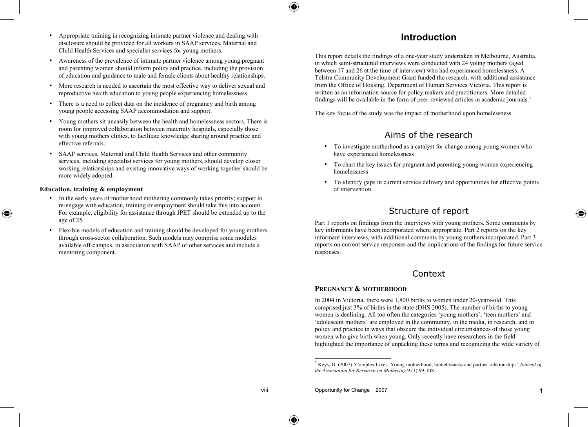- Appropriate training in recognizing intimate partner violence and dealing with disclosure should be provided for all workers in SAAP services, Maternal and Child Health Services and specialist services for young mothers.
- Awareness of the prevalence of intimate partner violence among young pregnant and parenting women should inform policy and practice, including the provision of education and guidance to male and female clients about healthy relationships.
- More research is needed to ascertain the most effective way to deliver sexual and reproductive health education to young people experiencing homelessness.
- There is a need to collect data on the incidence of pregnancy and birth among young people accessing SAAP accommodation and support.
- Young mothers sit uneasily between the health and homelessness sectors. There is room for improved collaboration between maternity hospitals, especially those with young mothers clinics, to facilitate knowledge sharing around practice and effective referrals.
- SAAP services, Maternal and Child Health Services and other community services, including specialist services for young mothers, should develop closer working relationships and existing innovative ways of working together should be more widely adopted.

#### **Education, training & employment**

◈

- In the early years of motherhood mothering commonly takes priority; support to re-engage with education, training or employment should take this into account. For example, eligibility for assistance through JPET should be extended up to the age of 25.
- Flexible models of education and training should be developed for young mothers through cross-sector collaboration. Such models may comprise some modules available off-campus, in association with SAAP or other services and include a mentoring component.

## **Introduction**

This report details the findings of a one-year study undertaken in Melbourne, Australia, in which semi-structured interviews were conducted with 24 young mothers (aged between 17 and 26 at the time of interview) who had experienced homelessness. A Telstra Community Development Grant funded the research, with additional assistance from the Office of Housing, Department of Human Services Victoria. This report is written as an information source for policy makers and practitioners. More detailed findings will be available in the form of peer-reviewed articles in academic journals. 1

The key focus of the study was the impact of motherhood upon homelessness.

## Aims of the research

- To investigate motherhood as a catalyst for change among young women who have experienced homelessness
- To chart the key issues for pregnant and parenting young women experiencing homelessness
- To identify gaps in current service delivery and opportunities for effective points of intervention

## Structure of report

Part 1 reports on findings from the interviews with young mothers. Some comments by key informants have been incorporated where appropriate. Part 2 reports on the key informant interviews, with additional comments by young mothers incorporated. Part 3 reports on current service responses and the implications of the findings for future service responses.

## Context

#### **PREGNANCY & MOTHERHOOD**

In 2004 in Victoria, there were 1,800 births to women under 20-years-old. This comprised just 3% of births in the state (DHS 2005). The number of births to young women is declining. All too often the categories 'young mothers', 'teen mothers' and 'adolescent mothers' are employed in the community, in the media, in research, and in policy and practice in ways that obscure the individual circumstances of those young women who give birth when young. Only recently have researchers in the field highlighted the importance of unpacking these terms and recognizing the wide variety of ⊕

 <sup>1</sup> Keys, D. (2007) 'Complex Lives: Young motherhood, homelessness and partner relationships' *Journal of the Association for Research on Mothering* 9 (1):99-108.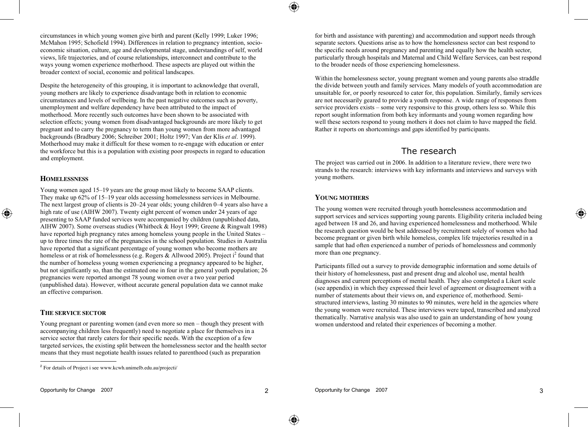circumstances in which young women give birth and parent (Kelly 1999; Luker 1996; McMahon 1995; Schofield 1994). Differences in relation to pregnancy intention, socioeconomic situation, culture, age and developmental stage, understandings of self, world views, life trajectories, and of course relationships, interconnect and contribute to the ways young women experience motherhood. These aspects are played out within the broader context of social, economic and political landscapes.

Despite the heterogeneity of this grouping, it is important to acknowledge that overall, young mothers are likely to experience disadvantage both in relation to economic circumstances and levels of wellbeing. In the past negative outcomes such as poverty, unemployment and welfare dependency have been attributed to the impact of motherhood. More recently such outcomes have been shown to be associated with selection effects; young women from disadvantaged backgrounds are more likely to get pregnant and to carry the pregnancy to term than young women from more advantaged backgrounds (Bradbury 2006; Schreiber 2001; Holtz 1997; Van der Klis *et al*. 1999). Motherhood may make it difficult for these women to re-engage with education or enter the workforce but this is a population with existing poor prospects in regard to education and employment.

#### **HOMELESSNESS**

◈

Young women aged 15–19 years are the group most likely to become SAAP clients. They make up 62% of 15–19 year olds accessing homelessness services in Melbourne. The next largest group of clients is 20–24 year olds; young children 0–4 years also have a high rate of use (AIHW 2007). Twenty eight percent of women under 24 years of age presenting to SAAP funded services were accompanied by children (unpublished data, AIHW 2007). Some overseas studies (Whitbeck & Hoyt 1999; Greene & Ringwalt 1998) have reported high pregnancy rates among homeless young people in the United States – up to three times the rate of the pregnancies in the school population. Studies in Australia have reported that a significant percentage of young women who become mothers are homeless or at risk of homelessness (e.g. Rogers & Allwood 2005). Project i<sup>2</sup> found that the number of homeless young women experiencing a pregnancy appeared to be higher, but not significantly so, than the estimated one in four in the general youth population; 26 pregnancies were reported amongst 78 young women over a two year period (unpublished data). However, without accurate general population data we cannot make an effective comparison.

#### **THE SERVICE SECTOR**

Young pregnant or parenting women (and even more so men – though they present with accompanying children less frequently) need to negotiate a place for themselves in a service sector that rarely caters for their specific needs. With the exception of a few targeted services, the existing split between the homelessness sector and the health sector means that they must negotiate health issues related to parenthood (such as preparation

for birth and assistance with parenting) and accommodation and support needs through separate sectors. Questions arise as to how the homelessness sector can best respond to the specific needs around pregnancy and parenting and equally how the health sector, particularly through hospitals and Maternal and Child Welfare Services, can best respond to the broader needs of those experiencing homelessness.

Within the homelessness sector, young pregnant women and young parents also straddle the divide between youth and family services. Many models of youth accommodation are unsuitable for, or poorly resourced to cater for, this population. Similarly, family services are not necessarily geared to provide a youth response. A wide range of responses from service providers exists – some very responsive to this group, others less so. While this report sought information from both key informants and young women regarding how well these sectors respond to young mothers it does not claim to have mapped the field. Rather it reports on shortcomings and gaps identified by participants.

## The research

The project was carried out in 2006. In addition to a literature review, there were two strands to the research: interviews with key informants and interviews and surveys with young mothers.

#### **YOUNG MOTHERS**

The young women were recruited through youth homelessness accommodation and support services and services supporting young parents. Eligibility criteria included being aged between 18 and 26, and having experienced homelessness and motherhood. While the research question would be best addressed by recruitment solely of women who had become pregnant or given birth while homeless, complex life trajectories resulted in a sample that had often experienced a number of periods of homelessness and commonly more than one pregnancy.

Participants filled out a survey to provide demographic information and some details of their history of homelessness, past and present drug and alcohol use, mental health diagnoses and current perceptions of mental health. They also completed a Likert scale (see appendix) in which they expressed their level of agreement or disagreement with a number of statements about their views on, and experience of, motherhood. Semistructured interviews, lasting 30 minutes to 90 minutes, were held in the agencies where the young women were recruited. These interviews were taped, transcribed and analyzed thematically. Narrative analysis was also used to gain an understanding of how young women understood and related their experiences of becoming a mother.

⊕

<sup>2</sup> For details of Project <sup>i</sup> see www.kcwh.unimelb.edu.au/projecti/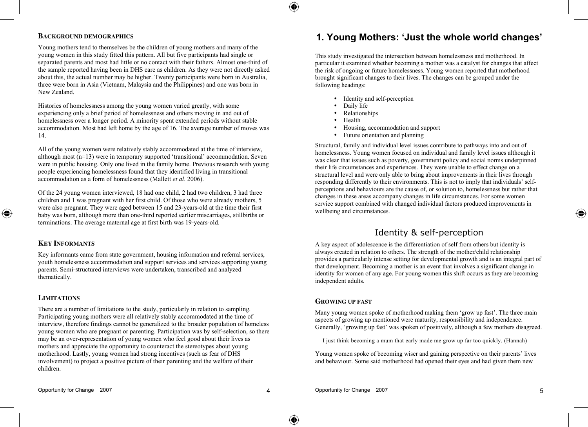#### **BACKGROUND DEMOGRAPHICS**

Young mothers tend to themselves be the children of young mothers and many of the young women in this study fitted this pattern. All but five participants had single or separated parents and most had little or no contact with their fathers. Almost one-third of the sample reported having been in DHS care as children. As they were not directly asked about this, the actual number may be higher. Twenty participants were born in Australia, three were born in Asia (Vietnam, Malaysia and the Philippines) and one was born in New Zealand.

Histories of homelessness among the young women varied greatly, with some experiencing only a brief period of homelessness and others moving in and out of homelessness over a longer period. A minority spent extended periods without stable accommodation. Most had left home by the age of 16. The average number of moves was 14.

All of the young women were relatively stably accommodated at the time of interview, although most (n=13) were in temporary supported 'transitional' accommodation. Seven were in public housing. Only one lived in the family home. Previous research with young people experiencing homelessness found that they identified living in transitional accommodation as a form of homelessness (Mallett *et al*. 2006).

Of the 24 young women interviewed, 18 had one child, 2 had two children, 3 had three children and 1 was pregnant with her first child. Of those who were already mothers, 5 were also pregnant. They were aged between 15 and 23-years-old at the time their first baby was born, although more than one-third reported earlier miscarriages, stillbirths or terminations. The average maternal age at first birth was 19-years-old.

### **KEY INFORMANTS**

◈

Key informants came from state government, housing information and referral services, youth homelessness accommodation and support services and services supporting young parents. Semi-structured interviews were undertaken, transcribed and analyzed thematically.

#### **LIMITATIONS**

There are a number of limitations to the study, particularly in relation to sampling. Participating young mothers were all relatively stably accommodated at the time of interview, therefore findings cannot be generalized to the broader population of homeless young women who are pregnant or parenting. Participation was by self-selection, so there may be an over-representation of young women who feel good about their lives as mothers and appreciate the opportunity to counteract the stereotypes about young motherhood. Lastly, young women had strong incentives (such as fear of DHS involvement) to project a positive picture of their parenting and the welfare of their children.

## **1. Young Mothers: 'Just the whole world changes'**

This study investigated the intersection between homelessness and motherhood. In particular it examined whether becoming a mother was a catalyst for changes that affect the risk of ongoing or future homelessness. Young women reported that motherhood brought significant changes to their lives. The changes can be grouped under the following headings:

- Identity and self-perception
- Daily life
- Relationships
- Health
- Housing, accommodation and support
- Future orientation and planning

Structural, family and individual level issues contribute to pathways into and out of homelessness. Young women focused on individual and family level issues although it was clear that issues such as poverty, government policy and social norms underpinned their life circumstances and experiences. They were unable to effect change on a structural level and were only able to bring about improvements in their lives through responding differently to their environments. This is not to imply that individuals' selfperceptions and behaviours are the cause of, or solution to, homelessness but rather that changes in these areas accompany changes in life circumstances. For some women service support combined with changed individual factors produced improvements in wellbeing and circumstances.

## Identity & self-perception

A key aspect of adolescence is the differentiation of self from others but identity is always created in relation to others. The strength of the mother/child relationship provides a particularly intense setting for developmental growth and is an integral part of that development. Becoming a mother is an event that involves a significant change in identity for women of any age. For young women this shift occurs as they are becoming independent adults.

#### **GROWING UP FAST**

Many young women spoke of motherhood making them 'grow up fast'. The three main aspects of growing up mentioned were maturity, responsibility and independence. Generally, 'growing up fast' was spoken of positively, although a few mothers disagreed.

I just think becoming a mum that early made me grow up far too quickly. (Hannah)

Young women spoke of becoming wiser and gaining perspective on their parents' lives and behaviour. Some said motherhood had opened their eyes and had given them new

◈

♠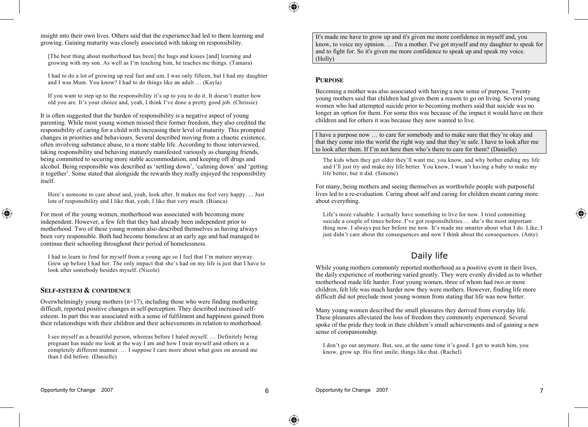insight into their own lives. Others said that the experience had led to them learning and growing. Gaining maturity was closely associated with taking on responsibility.

[The best thing about motherhood has been] the hugs and kisses [and] learning and growing with my son. As well as I'm teaching him, he teaches me things. (Tamara)

I had to do a lot of growing up real fast and um, I was only fifteen, but I had my daughter and I was Mum. You know? I had to do things like an adult … (Kayla)

If you want to step up to the responsibility it's up to you to do it. It doesn't matter how old you are. It's your choice and, yeah, I think I've done a pretty good job. (Chrissie)

It is often suggested that the burden of responsibility is a negative aspect of young parenting. While most young women missed their former freedom, they also credited the responsibility of caring for a child with increasing their level of maturity. This prompted changes in priorities and behaviours. Several described moving from a chaotic existence, often involving substance abuse, to a more stable life. According to those interviewed, taking responsibility and behaving maturely manifested variously as changing friends, being committed to securing more stable accommodation, and keeping off drugs and alcohol. Being responsible was described as 'settling down', 'calming down' and 'getting it together'. Some stated that alongside the rewards they really enjoyed the responsibility itself.

Here's someone to care about and, yeah, look after. It makes me feel very happy. ... Just lots of responsibility and I like that, yeah, I like that very much. (Bianca)

For most of the young women, motherhood was associated with becoming more independent. However, a few felt that they had already been independent prior to motherhood. Two of these young women also described themselves as having always been very responsible. Both had become homeless at an early age and had managed to continue their schooling throughout their period of homelessness.

I had to learn to fend for myself from a young age so I feel that I'm mature anyway. Grew up before I had her. The only impact that she's had on my life is just that I have to look after somebody besides myself. (Nicole)

#### **SELF-ESTEEM & CONFIDENCE**

◈

Overwhelmingly young mothers (n=17), including those who were finding mothering difficult, reported positive changes in self-perception. They described increased selfesteem. In part this was associated with a sense of fulfilment and happiness gained from their relationships with their children and their achievements in relation to motherhood.

I see myself as a beautiful person, whereas before I hated myself. … Definitely being pregnant has made me look at the way I am and how I treat myself and others in a completely different manner. … I suppose I care more about what goes on around me than I did before. (Danielle)

It's made me have to grow up and it's given me more confidence in myself and, you know, to voice my opinion. … I'm a mother. I've got myself and my daughter to speak for and to fight for. So it's given me more confidence to speak up and speak my voice. (Holly)

#### **PURPOSE**

Becoming a mother was also associated with having a new sense of purpose. Twenty young mothers said that children had given them a reason to go on living. Several young women who had attempted suicide prior to becoming mothers said that suicide was no longer an option for them. For some this was because of the impact it would have on their children and for others it was because they now wanted to live.

I have a purpose now … to care for somebody and to make sure that they're okay and that they come into the world the right way and that they're safe. I have to look after me to look after them. If I'm not here then who's there to care for them? (Danielle)

The kids when they get older they'll want me, you know, and why bother ending my life and I'll just try and make my life better. You know, I wasn't having a baby to make my life better, but it did. (Simone)

For many, being mothers and seeing themselves as worthwhile people with purposeful lives led to a re-evaluation. Caring about self and caring for children meant caring more about everything.

Life's more valuable. I actually have something to live for now. I tried committing suicide a couple of times before. I've got responsibilities … she's the most important thing now. I always put her before me now. It's made me smarter about what I do. Like, I just didn't care about the consequences and now I think about the consequences. (Amy)

## Daily life

While young mothers commonly reported motherhood as a positive event in their lives, the daily experience of mothering varied greatly. They were evenly divided as to whether motherhood made life harder. Four young women, three of whom had two or more children, felt life was much harder now they were mothers. However, finding life more difficult did not preclude most young women from stating that life was now better.

Many young women described the small pleasures they derived from everyday life. These pleasures alleviated the loss of freedom they commonly experienced. Several spoke of the pride they took in their children's small achievements and of gaining a new sense of companionship.

I don't go out anymore. But, see, at the same time it's good. I get to watch him, you know, grow up. His first smile, things like that. (Rachel)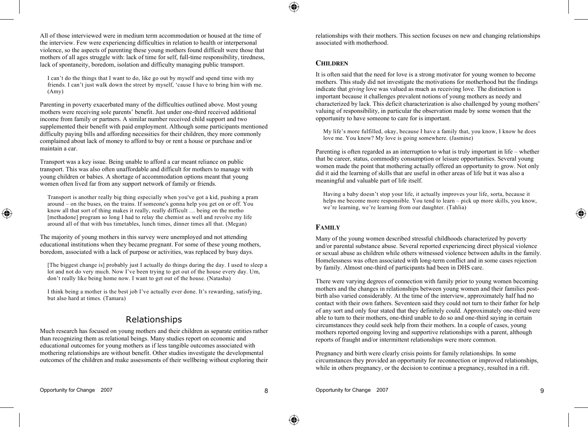All of those interviewed were in medium term accommodation or housed at the time of the interview. Few were experiencing difficulties in relation to health or interpersonal violence, so the aspects of parenting these young mothers found difficult were those that mothers of all ages struggle with: lack of time for self, full-time responsibility, tiredness, lack of spontaneity, boredom, isolation and difficulty managing public transport.

I can't do the things that I want to do, like go out by myself and spend time with my friends. I can't just walk down the street by myself, 'cause I have to bring him with me. (Amy)

Parenting in poverty exacerbated many of the difficulties outlined above. Most young mothers were receiving sole parents' benefit. Just under one-third received additional income from family or partners. A similar number received child support and two supplemented their benefit with paid employment. Although some participants mentioned difficulty paying bills and affording necessities for their children, they more commonly complained about lack of money to afford to buy or rent a house or purchase and/or maintain a car.

Transport was a key issue. Being unable to afford a car meant reliance on public transport. This was also often unaffordable and difficult for mothers to manage with young children or babies. A shortage of accommodation options meant that young women often lived far from any support network of family or friends.

Transport is another really big thing especially when you've got a kid, pushing a pram around – on the buses, on the trains. If someone's gonna help you get on or off. You know all that sort of thing makes it really, really difficult … being on the metho [methadone] program so long I had to relay the chemist as well and revolve my life around all of that with bus timetables, lunch times, dinner times all that. (Megan)

The majority of young mothers in this survey were unemployed and not attending educational institutions when they became pregnant. For some of these young mothers, boredom, associated with a lack of purpose or activities, was replaced by busy days.

[The biggest change is] probably just I actually do things during the day. I used to sleep a lot and not do very much. Now I've been trying to get out of the house every day. Um, don't really like being home now. I want to get out of the house. (Natasha)

I think being a mother is the best job I've actually ever done. It's rewarding, satisfying, but also hard at times. (Tamara)

## Relationships

Much research has focused on young mothers and their children as separate entities rather than recognizing them as relational beings. Many studies report on economic and educational outcomes for young mothers as if less tangible outcomes associated with mothering relationships are without benefit. Other studies investigate the developmental outcomes of the children and make assessments of their wellbeing without exploring their relationships with their mothers. This section focuses on new and changing relationships associated with motherhood.

#### **CHILDREN**

It is often said that the need for love is a strong motivator for young women to become mothers. This study did not investigate the motivations for motherhood but the findings indicate that *giving* love was valued as much as receiving love. The distinction is important because it challenges prevalent notions of young mothers as needy and characterized by lack. This deficit characterization is also challenged by young mothers' valuing of responsibility, in particular the observation made by some women that the opportunity to have someone to care for is important.

My life's more fulfilled, okay, because I have a family that, you know, I know he does love me. You know? My love is going somewhere. (Jasmine)

Parenting is often regarded as an interruption to what is truly important in life – whether that be career, status, commodity consumption or leisure opportunities. Several young women made the point that mothering actually offered an opportunity to grow. Not only did it aid the learning of skills that are useful in other areas of life but it was also a meaningful and valuable part of life itself.

Having a baby doesn't stop your life, it actually improves your life, sorta, because it helps me become more responsible. You tend to learn – pick up more skills, you know, we're learning, we're learning from our daughter. (Tahlia)

#### **FAMILY**

Many of the young women described stressful childhoods characterized by poverty and/or parental substance abuse. Several reported experiencing direct physical violence or sexual abuse as children while others witnessed violence between adults in the family. Homelessness was often associated with long-term conflict and in some cases rejection by family. Almost one-third of participants had been in DHS care.

There were varying degrees of connection with family prior to young women becoming mothers and the changes in relationships between young women and their families postbirth also varied considerably. At the time of the interview, approximately half had no contact with their own fathers. Seventeen said they could not turn to their father for help of any sort and only four stated that they definitely could. Approximately one-third were able to turn to their mothers, one-third unable to do so and one-third saying in certain circumstances they could seek help from their mothers. In a couple of cases, young mothers reported ongoing loving and supportive relationships with a parent, although reports of fraught and/or intermittent relationships were more common.

Pregnancy and birth were clearly crisis points for family relationships. In some circumstances they provided an opportunity for reconnection or improved relationships, while in others pregnancy, or the decision to continue a pregnancy, resulted in a rift.

◈

◈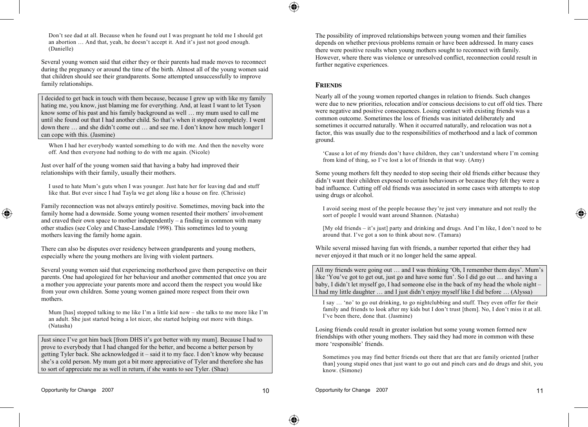Don't see dad at all. Because when he found out I was pregnant he told me I should get an abortion … And that, yeah, he doesn't accept it. And it's just not good enough. (Danielle)

Several young women said that either they or their parents had made moves to reconnect during the pregnancy or around the time of the birth. Almost all of the young women said that children should see their grandparents. Some attempted unsuccessfully to improve family relationships.

I decided to get back in touch with them because, because I grew up with like my family hating me, you know, just blaming me for everything. And, at least I want to let Tyson know some of his past and his family background as well … my mum used to call me until she found out that I had another child. So that's when it stopped completely. I went down there … and she didn't come out … and see me. I don't know how much longer I can cope with this. (Jasmine)

When I had her everybody wanted something to do with me. And then the novelty wore off. And then everyone had nothing to do with me again. (Nicole)

Just over half of the young women said that having a baby had improved their relationships with their family, usually their mothers.

I used to hate Mum's guts when I was younger. Just hate her for leaving dad and stuff like that. But ever since I had Tayla we get along like a house on fire. (Chrissie)

Family reconnection was not always entirely positive. Sometimes, moving back into the family home had a downside. Some young women resented their mothers' involvement and craved their own space to mother independently – a finding in common with many other studies (see Coley and Chase-Lansdale 1998). This sometimes led to young mothers leaving the family home again.

There can also be disputes over residency between grandparents and young mothers, especially where the young mothers are living with violent partners.

Several young women said that experiencing motherhood gave them perspective on their parents. One had apologized for her behaviour and another commented that once you are a mother you appreciate your parents more and accord them the respect you would like from your own children. Some young women gained more respect from their own mothers.

Mum [has] stopped talking to me like I'm a little kid now – she talks to me more like I'm an adult. She just started being a lot nicer, she started helping out more with things. (Natasha)

Just since I've got him back [from DHS it's got better with my mum]. Because I had to prove to everybody that I had changed for the better, and become a better person by getting Tyler back. She acknowledged it – said it to my face. I don't know why because she's a cold person. My mum got a bit more appreciative of Tyler and therefore she has to sort of appreciate me as well in return, if she wants to see Tyler. (Shae)

The possibility of improved relationships between young women and their families depends on whether previous problems remain or have been addressed. In many cases there were positive results when young mothers sought to reconnect with family. However, where there was violence or unresolved conflict, reconnection could result in further negative experiences.

#### **FRIENDS**

Nearly all of the young women reported changes in relation to friends. Such changes were due to new priorities, relocation and/or conscious decisions to cut off old ties. There were negative and positive consequences. Losing contact with existing friends was a common outcome. Sometimes the loss of friends was initiated deliberately and sometimes it occurred naturally. When it occurred naturally, and relocation was not a factor, this was usually due to the responsibilities of motherhood and a lack of common ground.

'Cause a lot of my friends don't have children, they can't understand where I'm coming from kind of thing, so I've lost a lot of friends in that way. (Amy)

Some young mothers felt they needed to stop seeing their old friends either because they didn't want their children exposed to certain behaviours or because they felt they were a bad influence. Cutting off old friends was associated in some cases with attempts to stop using drugs or alcohol.

I avoid seeing most of the people because they're just very immature and not really the sort of people I would want around Shannon. (Natasha)

[My old friends – it's just] party and drinking and drugs. And I'm like, I don't need to be around that. I've got a son to think about now. (Tamara)

While several missed having fun with friends, a number reported that either they had never enjoyed it that much or it no longer held the same appeal.

All my friends were going out … and I was thinking 'Oh, I remember them days'. Mum's like 'You've got to get out, just go and have some fun'. So I did go out … and having a baby, I didn't let myself go, I had someone else in the back of my head the whole night – I had my little daughter … and I just didn't enjoy myself like I did before … (Alyssa)

I say … 'no' to go out drinking, to go nightclubbing and stuff. They even offer for their family and friends to look after my kids but I don't trust [them]. No, I don't miss it at all. I've been there, done that. (Jasmine)

Losing friends could result in greater isolation but some young women formed new friendships with other young mothers. They said they had more in common with these more 'responsible' friends.

Sometimes you may find better friends out there that are that are family oriented [rather than] young stupid ones that just want to go out and pinch cars and do drugs and shit, you know. (Simone)

◈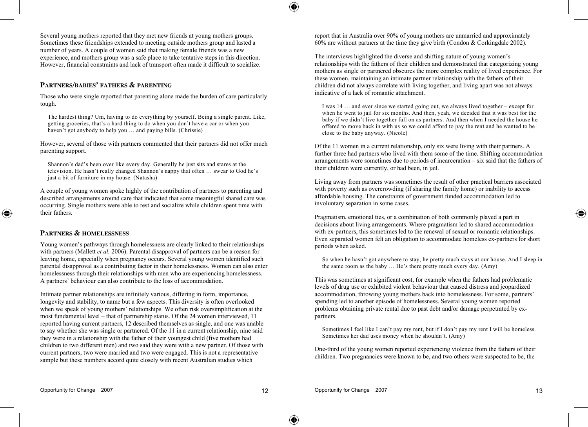Several young mothers reported that they met new friends at young mothers groups. Sometimes these friendships extended to meeting outside mothers group and lasted a number of years. A couple of women said that making female friends was a new experience, and mothers group was a safe place to take tentative steps in this direction. However, financial constraints and lack of transport often made it difficult to socialize.

#### **PARTNERS/BABIES' FATHERS & PARENTING**

Those who were single reported that parenting alone made the burden of care particularly tough.

The hardest thing? Um, having to do everything by yourself. Being a single parent. Like, getting groceries, that's a hard thing to do when you don't have a car or when you haven't got anybody to help you ... and paying bills. (Chrissie)

However, several of those with partners commented that their partners did not offer much parenting support.

Shannon's dad's been over like every day. Generally he just sits and stares at the television. He hasn't really changed Shannon's nappy that often … swear to God he's just a bit of furniture in my house. (Natasha)

A couple of young women spoke highly of the contribution of partners to parenting and described arrangements around care that indicated that some meaningful shared care was occurring. Single mothers were able to rest and socialize while children spent time with their fathers.

#### **PARTNERS & HOMELESSNESS**

◈

Young women's pathways through homelessness are clearly linked to their relationships with partners (Mallett *et al.* 2006). Parental disapproval of partners can be a reason for leaving home, especially when pregnancy occurs. Several young women identified such parental disapproval as a contributing factor in their homelessness. Women can also enter homelessness through their relationships with men who are experiencing homelessness. A partners' behaviour can also contribute to the loss of accommodation.

Intimate partner relationships are infinitely various, differing in form, importance, longevity and stability, to name but a few aspects. This diversity is often overlooked when we speak of young mothers' relationships. We often risk oversimplification at the most fundamental level – that of partnership status. Of the 24 women interviewed, 11 reported having current partners, 12 described themselves as single, and one was unable to say whether she was single or partnered. Of the 11 in a current relationship, nine said they were in a relationship with the father of their youngest child (five mothers had children to two different men) and two said they were with a new partner. Of those with current partners, two were married and two were engaged. This is not a representative sample but these numbers accord quite closely with recent Australian studies which

report that in Australia over 90% of young mothers are unmarried and approximately 60% are without partners at the time they give birth (Condon & Corkingdale 2002).

The interviews highlighted the diverse and shifting nature of young women's relationships with the fathers of their children and demonstrated that categorizing young mothers as single or partnered obscures the more complex reality of lived experience. For these women, maintaining an intimate partner relationship with the fathers of their children did not always correlate with living together, and living apart was not always indicative of a lack of romantic attachment.

I was 14 … and ever since we started going out, we always lived together – except for when he went to jail for six months. And then, yeah, we decided that it was best for the baby if we didn't live together full on as partners. And then when I needed the house he offered to move back in with us so we could afford to pay the rent and he wanted to be close to the baby anyway. (Nicole)

Of the 11 women in a current relationship, only six were living with their partners. A further three had partners who lived with them some of the time. Shifting accommodation arrangements were sometimes due to periods of incarceration – six said that the fathers of their children were currently, or had been, in jail.

Living away from partners was sometimes the result of other practical barriers associated with poverty such as overcrowding (if sharing the family home) or inability to access affordable housing. The constraints of government funded accommodation led to involuntary separation in some cases.

Pragmatism, emotional ties, or a combination of both commonly played a part in decisions about living arrangements. Where pragmatism led to shared accommodation with ex-partners, this sometimes led to the renewal of sexual or romantic relationships. Even separated women felt an obligation to accommodate homeless ex-partners for short periods when asked.

So when he hasn't got anywhere to stay, he pretty much stays at our house. And I sleep in the same room as the baby … He's there pretty much every day. (Amy)

This was sometimes at significant cost, for example when the fathers had problematic levels of drug use or exhibited violent behaviour that caused distress and jeopardized accommodation, throwing young mothers back into homelessness. For some, partners' spending led to another episode of homelessness. Several young women reported problems obtaining private rental due to past debt and/or damage perpetrated by expartners.

Sometimes I feel like I can't pay my rent, but if I don't pay my rent I will be homeless. Sometimes her dad uses money when he shouldn't. (Amy)

One-third of the young women reported experiencing violence from the fathers of their children. Two pregnancies were known to be, and two others were suspected to be, the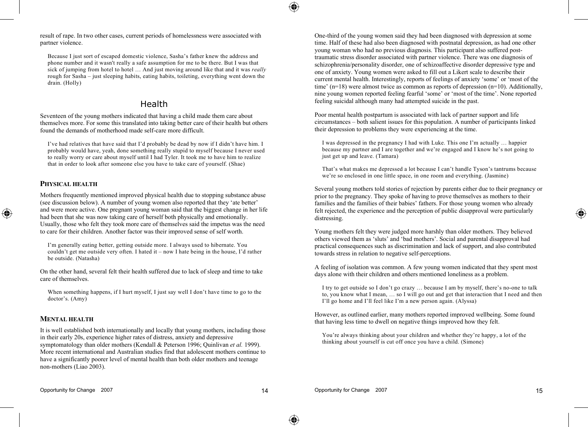result of rape. In two other cases, current periods of homelessness were associated with partner violence.

Because I just sort of escaped domestic violence, Sasha's father knew the address and phone number and it wasn't really a safe assumption for me to be there. But I was that sick of jumping from hotel to hotel ... And just moving around like that and it was *really* rough for Sasha – just sleeping habits, eating habits, toileting, everything went down the drain. (Holly)

## Health

Seventeen of the young mothers indicated that having a child made them care about themselves more. For some this translated into taking better care of their health but others found the demands of motherhood made self-care more difficult.

I've had relatives that have said that I'd probably be dead by now if I didn't have him. I probably would have, yeah, done something really stupid to myself because I never used to really worry or care about myself until I had Tyler. It took me to have him to realize that in order to look after someone else you have to take care of yourself. (Shae)

#### **PHYSICAL HEALTH**

◈

Mothers frequently mentioned improved physical health due to stopping substance abuse (see discussion below). A number of young women also reported that they 'ate better' and were more active. One pregnant young woman said that the biggest change in her life had been that she was now taking care of herself both physically and emotionally. Usually, those who felt they took more care of themselves said the impetus was the need to care for their children. Another factor was their improved sense of self worth.

I'm generally eating better, getting outside more. I always used to hibernate. You couldn't get me outside very often. I hated it – now I hate being in the house, I'd rather be outside. (Natasha)

On the other hand, several felt their health suffered due to lack of sleep and time to take care of themselves.

When something happens, if I hurt myself, I just say well I don't have time to go to the doctor's. (Amy)

#### **MENTAL HEALTH**

It is well established both internationally and locally that young mothers, including those in their early 20s, experience higher rates of distress, anxiety and depressive symptomatology than older mothers (Kendall & Peterson 1996; Quinlivan *et al.* 1999). More recent international and Australian studies find that adolescent mothers continue to have a significantly poorer level of mental health than both older mothers and teenage non-mothers (Liao 2003).

One-third of the young women said they had been diagnosed with depression at some time. Half of these had also been diagnosed with postnatal depression, as had one other young woman who had no previous diagnosis. This participant also suffered posttraumatic stress disorder associated with partner violence. There was one diagnosis of schizophrenia/personality disorder, one of schizoaffective disorder depressive type and one of anxiety. Young women were asked to fill out a Likert scale to describe their current mental health. Interestingly, reports of feelings of anxiety 'some' or 'most of the time' (n=18) were almost twice as common as reports of depression (n=10). Additionally, nine young women reported feeling fearful 'some' or 'most of the time'. None reported feeling suicidal although many had attempted suicide in the past.

Poor mental health postpartum is associated with lack of partner support and life circumstances – both salient issues for this population. A number of participants linked their depression to problems they were experiencing at the time.

I was depressed in the pregnancy I had with Luke. This one I'm actually … happier because my partner and I are together and we're engaged and I know he's not going to just get up and leave. (Tamara)

That's what makes me depressed a lot because I can't handle Tyson's tantrums because we're so enclosed in one little space, in one room and everything. (Jasmine)

Several young mothers told stories of rejection by parents either due to their pregnancy or prior to the pregnancy. They spoke of having to prove themselves as mothers to their families and the families of their babies' fathers. For those young women who already felt rejected, the experience and the perception of public disapproval were particularly distressing.

Young mothers felt they were judged more harshly than older mothers. They believed others viewed them as 'sluts' and 'bad mothers'. Social and parental disapproval had practical consequences such as discrimination and lack of support, and also contributed towards stress in relation to negative self-perceptions.

A feeling of isolation was common. A few young women indicated that they spent most days alone with their children and others mentioned loneliness as a problem.

I try to get outside so I don't go crazy … because I am by myself, there's no-one to talk to, you know what I mean, … so I will go out and get that interaction that I need and then I'll go home and I'll feel like I'm a new person again. (Alyssa)

However, as outlined earlier, many mothers reported improved wellbeing. Some found that having less time to dwell on negative things improved how they felt.

You're always thinking about your children and whether they're happy, a lot of the thinking about yourself is cut off once you have a child. (Simone)

⊕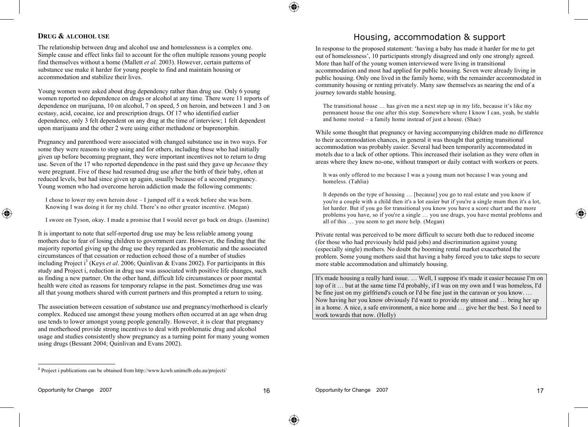#### **DRUG & ALCOHOL USE**

The relationship between drug and alcohol use and homelessness is a complex one. Simple cause and effect links fail to account for the often multiple reasons young people find themselves without a home (Mallett *et al.* 2003). However, certain patterns of substance use make it harder for young people to find and maintain housing or accommodation and stabilize their lives.

Young women were asked about drug dependency rather than drug use. Only 6 young women reported no dependence on drugs or alcohol at any time. There were 11 reports of dependence on marijuana, 10 on alcohol, 7 on speed, 5 on heroin, and between 1 and 3 on ecstasy, acid, cocaine, ice and prescription drugs. Of 17 who identified earlier dependence, only 3 felt dependent on any drug at the time of interview; 1 felt dependent upon marijuana and the other 2 were using either methadone or buprenorphin.

Pregnancy and parenthood were associated with changed substance use in two ways. For some they were reasons to stop using and for others, including those who had initially given up before becoming pregnant, they were important incentives not to return to drug use. Seven of the 17 who reported dependence in the past said they gave up *because* they were pregnant. Five of these had resumed drug use after the birth of their baby, often at reduced levels, but had since given up again, usually because of a second pregnancy. Young women who had overcome heroin addiction made the following comments:

I chose to lower my own heroin dose – I jumped off it a week before she was born. Knowing I was doing it for my child. There's no other greater incentive. (Megan)

I swore on Tyson, okay. I made a promise that I would never go back on drugs. (Jasmine)

It is important to note that self-reported drug use may be less reliable among young mothers due to fear of losing children to government care. However, the finding that the majority reported giving up the drug use they regarded as problematic and the associated circumstances of that cessation or reduction echoed those of a number of studies including Project i 3 (Keys *et al*. 2006; Quinlivan & Evans 2002). For participants in this study and Project i, reduction in drug use was associated with positive life changes, such as finding a new partner. On the other hand, difficult life circumstances or poor mental health were cited as reasons for temporary relapse in the past. Sometimes drug use was all that young mothers shared with current partners and this prompted a return to using.

The association between cessation of substance use and pregnancy/motherhood is clearly complex. Reduced use amongst these young mothers often occurred at an age when drug use tends to lower amongst young people generally. However, it is clear that pregnancy and motherhood provide strong incentives to deal with problematic drug and alcohol usage and studies consistently show pregnancy as a turning point for many young women using drugs (Bessant 2004; Quinlivan and Evans 2002).

## Housing, accommodation & support

In response to the proposed statement: 'having a baby has made it harder for me to get out of homelessness', 10 participants strongly disagreed and only one strongly agreed. More than half of the young women interviewed were living in transitional accommodation and most had applied for public housing. Seven were already living in public housing. Only one lived in the family home, with the remainder accommodated in community housing or renting privately. Many saw themselves as nearing the end of a journey towards stable housing.

The transitional house … has given me a next step up in my life, because it's like my permanent house the one after this step. Somewhere where I know I can, yeah, be stable and home rooted – a family home instead of just a house. (Shae)

While some thought that pregnancy or having accompanying children made no difference to their accommodation chances, in general it was thought that getting transitional accommodation was probably easier. Several had been temporarily accommodated in motels due to a lack of other options. This increased their isolation as they were often in areas where they knew no-one, without transport or daily contact with workers or peers.

It was only offered to me because I was a young mum not because I was young and homeless. (Tahlia)

It depends on the type of housing … [because] you go to real estate and you know if you're a couple with a child then it's a lot easier but if you're a single mum then it's a lot, lot harder. But if you go for transitional you know you have a score chart and the more problems you have, so if you're a single … you use drugs, you have mental problems and all of this … you seem to get more help. (Megan)

Private rental was perceived to be more difficult to secure both due to reduced income (for those who had previously held paid jobs) and discrimination against young (especially single) mothers. No doubt the booming rental market exacerbated the problem. Some young mothers said that having a baby forced you to take steps to secure more stable accommodation and ultimately housing.

It's made housing a really hard issue. … Well, I suppose it's made it easier because I'm on top of it … but at the same time I'd probably, if I was on my own and I was homeless, I'd be fine just on my girlfriend's couch or I'd be fine just in the caravan or you know. ... Now having her you know obviously I'd want to provide my utmost and … bring her up in a home. A nice, a safe environment, a nice home and … give her the best. So I need to work towards that now. (Holly)

1

◈

⊕

<sup>3</sup> Project i publications can be obtained from http://www.kcwh.unimelb.edu.au/projecti/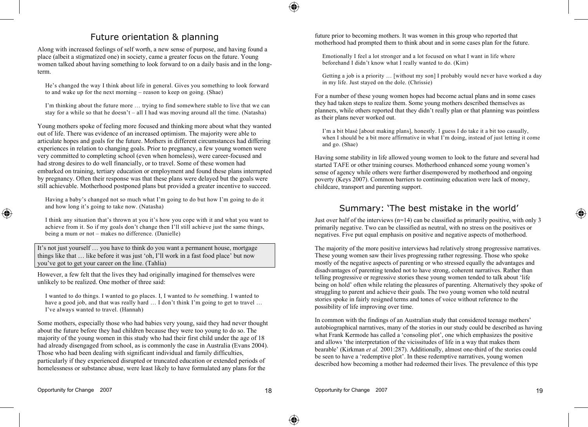## Future orientation & planning

Along with increased feelings of self worth, a new sense of purpose, and having found a place (albeit a stigmatized one) in society, came a greater focus on the future. Young women talked about having something to look forward to on a daily basis and in the longterm.

He's changed the way I think about life in general. Gives you something to look forward to and wake up for the next morning – reason to keep on going. (Shae)

I'm thinking about the future more … trying to find somewhere stable to live that we can stay for a while so that he doesn't – all I had was moving around all the time. (Natasha)

Young mothers spoke of feeling more focused and thinking more about what they wanted out of life. There was evidence of an increased optimism. The majority were able to articulate hopes and goals for the future. Mothers in different circumstances had differing experiences in relation to changing goals. Prior to pregnancy, a few young women were very committed to completing school (even when homeless), were career-focused and had strong desires to do well financially, or to travel. Some of these women had embarked on training, tertiary education or employment and found these plans interrupted by pregnancy. Often their response was that these plans were delayed but the goals were still achievable. Motherhood postponed plans but provided a greater incentive to succeed.

Having a baby's changed not so much what I'm going to do but how I'm going to do it and how long it's going to take now. (Natasha)

I think any situation that's thrown at you it's how you cope with it and what you want to achieve from it. So if my goals don't change then I'll still achieve just the same things, being a mum or not – makes no difference. (Danielle)

It's not just yourself … you have to think do you want a permanent house, mortgage things like that … like before it was just 'oh, I'll work in a fast food place' but now you've got to get your career on the line. (Tahlia)

However, a few felt that the lives they had originally imagined for themselves were unlikely to be realized. One mother of three said:

I wanted to do things. I wanted to go places. I, I wanted to *be* something. I wanted to have a good job, and that was really hard ... I don't think I'm going to get to travel ... I've always wanted to travel. (Hannah)

Some mothers, especially those who had babies very young, said they had never thought about the future before they had children because they were too young to do so. The majority of the young women in this study who had their first child under the age of 18 had already disengaged from school, as is commonly the case in Australia (Evans 2004). Those who had been dealing with significant individual and family difficulties, particularly if they experienced disrupted or truncated education or extended periods of homelessness or substance abuse, were least likely to have formulated any plans for the

future prior to becoming mothers. It was women in this group who reported that motherhood had prompted them to think about and in some cases plan for the future.

Emotionally I feel a lot stronger and a lot focused on what I want in life where beforehand I didn't know what I really wanted to do. (Kim)

Getting a job is a priority … [without my son] I probably would never have worked a day in my life. Just stayed on the dole. (Chrissie)

For a number of these young women hopes had become actual plans and in some cases they had taken steps to realize them. Some young mothers described themselves as planners, while others reported that they didn't really plan or that planning was pointless as their plans never worked out.

I'm a bit blasé [about making plans], honestly. I guess I do take it a bit too casually, when I should be a bit more affirmative in what I'm doing, instead of just letting it come and go. (Shae)

Having some stability in life allowed young women to look to the future and several had started TAFE or other training courses. Motherhood enhanced some young women's sense of agency while others were further disempowered by motherhood and ongoing poverty (Keys 2007). Common barriers to continuing education were lack of money, childcare, transport and parenting support.

## Summary: 'The best mistake in the world'

Just over half of the interviews  $(n=14)$  can be classified as primarily positive, with only 3 primarily negative. Two can be classified as neutral, with no stress on the positives or negatives. Five put equal emphasis on positive and negative aspects of motherhood.

The majority of the more positive interviews had relatively strong progressive narratives. These young women saw their lives progressing rather regressing. Those who spoke mostly of the negative aspects of parenting or who stressed equally the advantages and disadvantages of parenting tended not to have strong, coherent narratives. Rather than telling progressive or regressive stories these young women tended to talk about 'life being on hold' often while relating the pleasures of parenting. Alternatively they spoke of struggling to parent and achieve their goals. The two young women who told neutral stories spoke in fairly resigned terms and tones of voice without reference to the possibility of life improving over time.

In common with the findings of an Australian study that considered teenage mothers' autobiographical narratives, many of the stories in our study could be described as having what Frank Kermode has called a 'consoling plot', one which emphasizes the positive and allows 'the interpretation of the vicissitudes of life in a way that makes them bearable' (Kirkman *et al.* 2001:287). Additionally, almost one-third of the stories could be seen to have a 'redemptive plot'. In these redemptive narratives, young women described how becoming a mother had redeemed their lives. The prevalence of this type

◈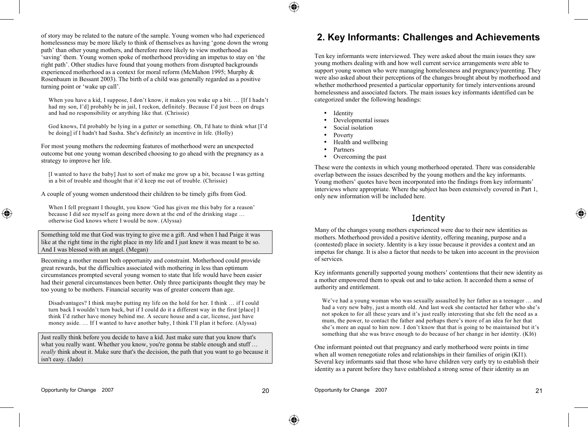of story may be related to the nature of the sample. Young women who had experienced homelessness may be more likely to think of themselves as having 'gone down the wrong path' than other young mothers, and therefore more likely to view motherhood as 'saving' them. Young women spoke of motherhood providing an impetus to stay on 'the right path'. Other studies have found that young mothers from disrupted backgrounds experienced motherhood as a context for moral reform (McMahon 1995; Murphy & Rosenbaum in Bessant 2003). The birth of a child was generally regarded as a positive turning point or 'wake up call'.

When you have a kid, I suppose, I don't know, it makes you wake up a bit. … [If I hadn't had my son, I'd] probably be in jail, I reckon, definitely. Because I'd just been on drugs and had no responsibility or anything like that. (Chrissie)

God knows, I'd probably be lying in a gutter or something. Oh, I'd hate to think what [I'd be doing] if I hadn't had Sasha. She's definitely an incentive in life. (Holly)

For most young mothers the redeeming features of motherhood were an unexpected outcome but one young woman described choosing to go ahead with the pregnancy as a strategy to improve her life.

[I wanted to have the baby] Just to sort of make me grow up a bit, because I was getting in a bit of trouble and thought that it'd keep me out of trouble. (Chrissie)

A couple of young women understood their children to be timely gifts from God.

When I fell pregnant I thought, you know 'God has given me this baby for a reason' because I did see myself as going more down at the end of the drinking stage … otherwise God knows where I would be now. (Alyssa)

Something told me that God was trying to give me a gift. And when I had Paige it was like at the right time in the right place in my life and I just knew it was meant to be so. And I was blessed with an angel. (Megan)

Becoming a mother meant both opportunity and constraint. Motherhood could provide great rewards, but the difficulties associated with mothering in less than optimum circumstances prompted several young women to state that life would have been easier had their general circumstances been better. Only three participants thought they may be too young to be mothers. Financial security was of greater concern than age.

Disadvantages? I think maybe putting my life on the hold for her. I think … if I could turn back I wouldn't turn back, but if I could do it a different way in the first [place] I think I'd rather have money behind me. A secure house and a car, license, just have money aside. … If I wanted to have another baby, I think I'll plan it before. (Alyssa)

Just really think before you decide to have a kid. Just make sure that you know that's what you really want. Whether you know, you're gonna be stable enough and stuff ... *really* think about it. Make sure that's the decision, the path that you want to go because it isn't easy. (Jade)

## **2. Key Informants: Challenges and Achievements**

Ten key informants were interviewed. They were asked about the main issues they saw young mothers dealing with and how well current service arrangements were able to support young women who were managing homelessness and pregnancy/parenting. They were also asked about their perceptions of the changes brought about by motherhood and whether motherhood presented a particular opportunity for timely interventions around homelessness and associated factors. The main issues key informants identified can be categorized under the following headings:

- **Identity**
- Developmental issues
- Social isolation
- Poverty
- Health and wellbeing
- Partners
- Overcoming the past

These were the contexts in which young motherhood operated. There was considerable overlap between the issues described by the young mothers and the key informants. Young mothers' quotes have been incorporated into the findings from key informants' interviews where appropriate. Where the subject has been extensively covered in Part 1, only new information will be included here.

## Identity

Many of the changes young mothers experienced were due to their new identities as mothers. Motherhood provided a positive identity, offering meaning, purpose and a (contested) place in society. Identity is a key issue because it provides a context and an impetus for change. It is also a factor that needs to be taken into account in the provision of services.

Key informants generally supported young mothers' contentions that their new identity as a mother empowered them to speak out and to take action. It accorded them a sense of authority and entitlement.

We've had a young woman who was sexually assaulted by her father as a teenager … and had a very new baby, just a month old. And last week she contacted her father who she's not spoken to for all these years and it's just really interesting that she felt the need as a mum, the power, to contact the father and perhaps there's more of an idea for her that she's more an equal to him now. I don't know that that is going to be maintained but it's something that she was brave enough to do because of her change in her identity. (KI6)

One informant pointed out that pregnancy and early motherhood were points in time when all women renegotiate roles and relationships in their families of origin (KI1). Several key informants said that those who have children very early try to establish their identity as a parent before they have established a strong sense of their identity as an

◈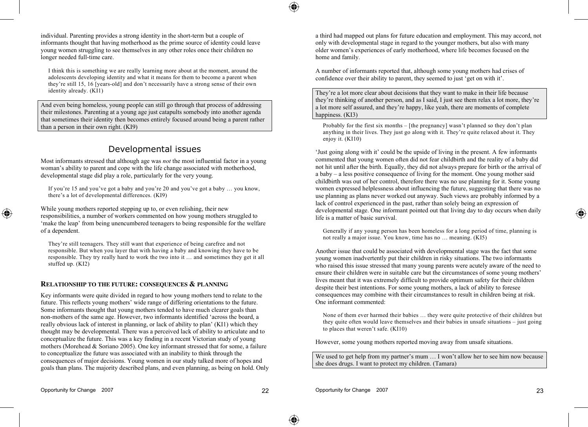individual. Parenting provides a strong identity in the short-term but a couple of informants thought that having motherhood as the prime source of identity could leave young women struggling to see themselves in any other roles once their children no longer needed full-time care.

I think this is something we are really learning more about at the moment, around the adolescents developing identity and what it means for them to become a parent when they're still 15, 16 [years-old] and don't necessarily have a strong sense of their own identity already. (KI1)

And even being homeless, young people can still go through that process of addressing their milestones. Parenting at a young age just catapults somebody into another agenda that sometimes their identity then becomes entirely focused around being a parent rather than a person in their own right. (KI9)

## Developmental issues

Most informants stressed that although age was *not* the most influential factor in a young woman's ability to parent and cope with the life change associated with motherhood. developmental stage did play a role, particularly for the very young.

If you're 15 and you've got a baby and you're 20 and you've got a baby … you know, there's a lot of developmental differences. (KI9)

While young mothers reported stepping up to, or even relishing, their new responsibilities, a number of workers commented on how young mothers struggled to 'make the leap' from being unencumbered teenagers to being responsible for the welfare of a dependent.

They're still teenagers. They still want that experience of being carefree and not responsible. But when you layer that with having a baby and knowing they have to be responsible. They try really hard to work the two into it … and sometimes they get it all stuffed up. (KI2)

#### **RELATIONSHIP TO THE FUTURE: CONSEQUENCES & PLANNING**

Key informants were quite divided in regard to how young mothers tend to relate to the future. This reflects young mothers' wide range of differing orientations to the future. Some informants thought that young mothers tended to have much clearer goals than non-mothers of the same age. However, two informants identified 'across the board, a really obvious lack of interest in planning, or lack of ability to plan' (KI1) which they thought may be developmental. There was a perceived lack of ability to articulate and to conceptualize the future. This was a key finding in a recent Victorian study of young mothers (Morehead & Soriano 2005). One key informant stressed that for some, a failure to conceptualize the future was associated with an inability to think through the consequences of major decisions. Young women in our study talked more of hopes and goals than plans. The majority described plans, and even planning, as being on hold. Only a third had mapped out plans for future education and employment. This may accord, not only with developmental stage in regard to the younger mothers, but also with many older women's experiences of early motherhood, where life becomes focused on the home and family.

A number of informants reported that, although some young mothers had crises of confidence over their ability to parent, they seemed to just 'get on with it'.

They're a lot more clear about decisions that they want to make in their life because they're thinking of another person, and as I said, I just see them relax a lot more, they're a lot more self assured, and they're happy, like yeah, there are moments of complete happiness. (KI3)

Probably for the first six months – [the pregnancy] wasn't planned so they don't plan anything in their lives. They just go along with it. They're quite relaxed about it. They enjoy it. (KI10)

'Just going along with it' could be the upside of living in the present. A few informants commented that young women often did not fear childbirth and the reality of a baby did not hit until after the birth. Equally, they did not always prepare for birth or the arrival of a baby – a less positive consequence of living for the moment. One young mother said childbirth was out of her control, therefore there was no use planning for it. Some young women expressed helplessness about influencing the future, suggesting that there was no use planning as plans never worked out anyway. Such views are probably informed by a lack of control experienced in the past, rather than solely being an expression of developmental stage. One informant pointed out that living day to day occurs when daily life is a matter of basic survival.

Generally if any young person has been homeless for a long period of time, planning is not really a major issue. You know, time has no … meaning. (KI5)

Another issue that could be associated with developmental stage was the fact that some young women inadvertently put their children in risky situations. The two informants who raised this issue stressed that many young parents were acutely aware of the need to ensure their children were in suitable care but the circumstances of some young mothers' lives meant that it was extremely difficult to provide optimum safety for their children despite their best intentions. For some young mothers, a lack of ability to foresee consequences may combine with their circumstances to result in children being at risk. One informant commented:

None of them ever harmed their babies … they were quite protective of their children but they quite often would leave themselves and their babies in unsafe situations – just going to places that weren't safe. (KI10)

However, some young mothers reported moving away from unsafe situations.

We used to get help from my partner's mum ... I won't allow her to see him now because she does drugs. I want to protect my children. (Tamara)

◈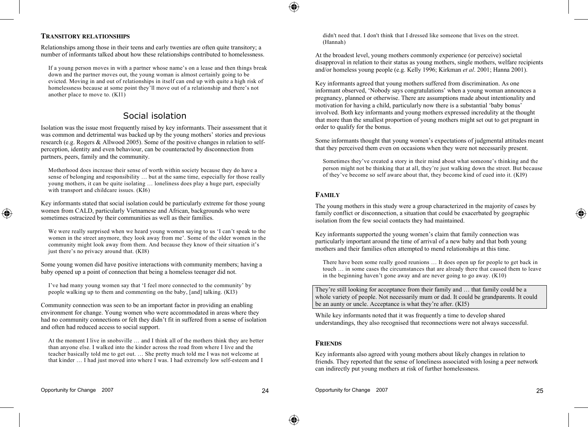### **TRANSITORY RELATIONSHIPS**

Relationships among those in their teens and early twenties are often quite transitory; a number of informants talked about how these relationships contributed to homelessness.

If a young person moves in with a partner whose name's on a lease and then things break down and the partner moves out, the young woman is almost certainly going to be evicted. Moving in and out of relationships in itself can end up with quite a high risk of homelessness because at some point they'll move out of a relationship and there's not another place to move to. (KI1)

## Social isolation

Isolation was the issue most frequently raised by key informants. Their assessment that it was common and detrimental was backed up by the young mothers' stories and previous research (e.g. Rogers & Allwood 2005). Some of the positive changes in relation to selfperception, identity and even behaviour, can be counteracted by disconnection from partners, peers, family and the community.

Motherhood does increase their sense of worth within society because they do have a sense of belonging and responsibility … but at the same time, especially for those really young mothers, it can be quite isolating … loneliness does play a huge part, especially with transport and childcare issues. (KI6)

Key informants stated that social isolation could be particularly extreme for those young women from CALD, particularly Vietnamese and African, backgrounds who were sometimes ostracized by their communities as well as their families.

We were really surprised when we heard young women saying to us 'I can't speak to the women in the street anymore, they look away from me'. Some of the older women in the community might look away from them. And because they know of their situation it's just there's no privacy around that. (KI8)

Some young women did have positive interactions with community members; having a baby opened up a point of connection that being a homeless teenager did not.

I've had many young women say that 'I feel more connected to the community' by people walking up to them and commenting on the baby, [and] talking. (KI3)

Community connection was seen to be an important factor in providing an enabling environment for change. Young women who were accommodated in areas where they had no community connections or felt they didn't fit in suffered from a sense of isolation and often had reduced access to social support.

At the moment I live in snobsville … and I think all of the mothers think they are better than anyone else. I walked into the kinder across the road from where I live and the teacher basically told me to get out. … She pretty much told me I was not welcome at that kinder … I had just moved into where I was. I had extremely low self-esteem and I

didn't need that. I don't think that I dressed like someone that lives on the street. (Hannah)

At the broadest level, young mothers commonly experience (or perceive) societal disapproval in relation to their status as young mothers, single mothers, welfare recipients and/or homeless young people (e.g. Kelly 1996; Kirkman *et al*. 2001; Hanna 2001).

Key informants agreed that young mothers suffered from discrimination. As one informant observed, 'Nobody says congratulations' when a young woman announces a pregnancy, planned or otherwise. There are assumptions made about intentionality and motivation for having a child, particularly now there is a substantial 'baby bonus' involved. Both key informants and young mothers expressed incredulity at the thought that more than the smallest proportion of young mothers might set out to get pregnant in order to qualify for the bonus.

Some informants thought that young women's expectations of judgmental attitudes meant that they perceived them even on occasions when they were not necessarily present.

Sometimes they've created a story in their mind about what someone's thinking and the person might not be thinking that at all, they're just walking down the street. But because of they've become so self aware about that, they become kind of cued into it. (KI9)

### **FAMILY**

The young mothers in this study were a group characterized in the majority of cases by family conflict or disconnection, a situation that could be exacerbated by geographic isolation from the few social contacts they had maintained.

Key informants supported the young women's claim that family connection was particularly important around the time of arrival of a new baby and that both young mothers and their families often attempted to mend relationships at this time.

There have been some really good reunions … It does open up for people to get back in touch … in some cases the circumstances that are already there that caused them to leave in the beginning haven't gone away and are never going to go away. (K10)

They're still looking for acceptance from their family and … that family could be a whole variety of people. Not necessarily mum or dad. It could be grandparents. It could be an aunty or uncle. Acceptance is what they're after. (KI5)

While key informants noted that it was frequently a time to develop shared understandings, they also recognised that reconnections were not always successful.

#### **FRIENDS**

Key informants also agreed with young mothers about likely changes in relation to friends. They reported that the sense of loneliness associated with losing a peer network can indirectly put young mothers at risk of further homelessness.

◈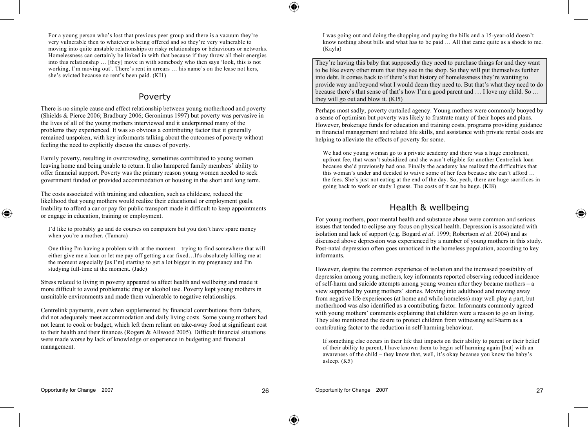For a young person who's lost that previous peer group and there is a vacuum they're very vulnerable then to whatever is being offered and so they're very vulnerable to moving into quite unstable relationships or risky relationships or behaviours or networks. Homelessness can certainly be linked in with that because if they throw all their energies into this relationship … [they] move in with somebody who then says 'look, this is not working, I'm moving out'. There's rent in arrears … his name's on the lease not hers, she's evicted because no rent's been paid. (KI1)

## Poverty

There is no simple cause and effect relationship between young motherhood and poverty (Shields & Pierce 2006; Bradbury 2006; Geronimus 1997) but poverty was pervasive in the lives of all of the young mothers interviewed and it underpinned many of the problems they experienced. It was so obvious a contributing factor that it generally remained unspoken, with key informants talking about the outcomes of poverty without feeling the need to explicitly discuss the causes of poverty.

Family poverty, resulting in overcrowding, sometimes contributed to young women leaving home and being unable to return. It also hampered family members' ability to offer financial support. Poverty was the primary reason young women needed to seek government funded or provided accommodation or housing in the short and long term.

The costs associated with training and education, such as childcare, reduced the likelihood that young mothers would realize their educational or employment goals. Inability to afford a car or pay for public transport made it difficult to keep appointments or engage in education, training or employment.

I'd like to probably go and do courses on computers but you don't have spare money when you're a mother. (Tamara)

One thing I'm having a problem with at the moment – trying to find somewhere that will either give me a loan or let me pay off getting a car fixed…It's absolutely killing me at the moment especially [as I'm] starting to get a lot bigger in my pregnancy and I'm studying full-time at the moment. (Jade)

Stress related to living in poverty appeared to affect health and wellbeing and made it more difficult to avoid problematic drug or alcohol use. Poverty kept young mothers in unsuitable environments and made them vulnerable to negative relationships.

Centrelink payments, even when supplemented by financial contributions from fathers, did not adequately meet accommodation and daily living costs. Some young mothers had not learnt to cook or budget, which left them reliant on take-away food at significant cost to their health and their finances (Rogers & Allwood 2005). Difficult financial situations were made worse by lack of knowledge or experience in budgeting and financial management.

I was going out and doing the shopping and paying the bills and a 15-year-old doesn't know nothing about bills and what has to be paid … All that came quite as a shock to me. (Kayla)

They're having this baby that supposedly they need to purchase things for and they want to be like every other mum that they see in the shop. So they will put themselves further into debt. It comes back to if there's that history of homelessness they're wanting to provide way and beyond what I would deem they need to. But that's what they need to do because there's that sense of that's how I'm a good parent and … I love my child. So … they will go out and blow it. (KI5)

Perhaps most sadly, poverty curtailed agency. Young mothers were commonly buoyed by a sense of optimism but poverty was likely to frustrate many of their hopes and plans. However, brokerage funds for education and training costs, programs providing guidance in financial management and related life skills, and assistance with private rental costs are helping to alleviate the effects of poverty for some.

We had one young woman go to a private academy and there was a huge enrolment, upfront fee, that wasn't subsidized and she wasn't eligible for another Centrelink loan because she'd previously had one. Finally the academy has realized the difficulties that this woman's under and decided to waive some of her fees because she can't afford … the fees. She's just not eating at the end of the day. So, yeah, there are huge sacrifices in going back to work or study I guess. The costs of it can be huge. (KI8)

## Health & wellbeing

For young mothers, poor mental health and substance abuse were common and serious issues that tended to eclipse any focus on physical health. Depression is associated with isolation and lack of support (e.g. Bogard *et al*. 1999; Robertson *et al*. 2004) and as discussed above depression was experienced by a number of young mothers in this study. Post-natal depression often goes unnoticed in the homeless population, according to key informants.

However, despite the common experience of isolation and the increased possibility of depression among young mothers, key informants reported observing reduced incidence of self-harm and suicide attempts among young women after they became mothers – a view supported by young mothers' stories. Moving into adulthood and moving away from negative life experiences (at home and while homeless) may well play a part, but motherhood was also identified as a contributing factor. Informants commonly agreed with young mothers' comments explaining that children were a reason to go on living. They also mentioned the desire to protect children from witnessing self-harm as a contributing factor to the reduction in self-harming behaviour.

If something else occurs in their life that impacts on their ability to parent or their belief of their ability to parent, I have known them to begin self harming again [but] with an awareness of the child – they know that, well, it's okay because you know the baby's asleep. (K5)

◈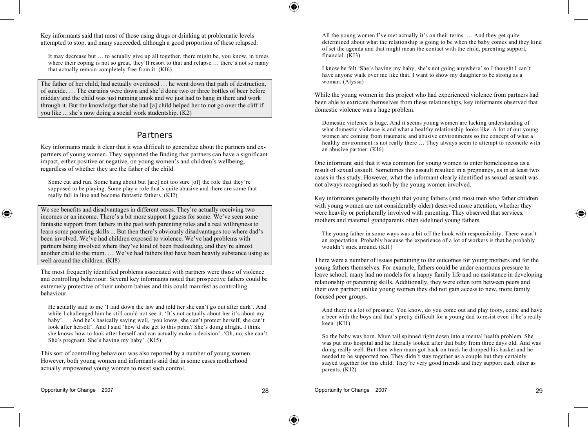Key informants said that most of those using drugs or drinking at problematic levels attempted to stop, and many succeeded, although a good proportion of these relapsed.

It may decrease but — to actually give up all together, there might be, you know, in times where their coping is not so great, they'll resort to that and relapse ... there's not so many that actually remain completely free from it. (KI6)

The father of her child, had actually overdosed … he went down that path of destruction, of suicide. … The curtains were down and she'd done two or three bottles of beer before midday and the child was just running amok and we just had to hang in there and work through it. But the knowledge that she had [a] child helped her to not go over the cliff if you like ... she's now doing a social work studentship. (K2)

## Partners

Key informants made it clear that it was difficult to generalize about the partners and expartners of young women. They supported the finding that partners can have a significant impact, either positive or negative, on young women's and children's wellbeing, regardless of whether they are the father of the child.

Some cut and run. Some hang about but [are] not too sure [of] the role that they're supposed to be playing. Some play a role that's quite abusive and there are some that really fall in line and become fantastic fathers. (KI2)

We see benefits and disadvantages in different cases. They're actually receiving two incomes or an income. There's a bit more support I guess for some. We've seen some fantastic support from fathers in the past with parenting roles and a real willingness to learn some parenting skills ... But then there's obviously disadvantages too where dad's been involved. We've had children exposed to violence. We've had problems with partners being involved where they've kind of been freeloading, and they're almost another child to the mum. … We've had fathers that have been heavily substance using as well around the children. (KI8)

The most frequently identified problems associated with partners were those of violence and controlling behaviour. Several key informants noted that prospective fathers could be extremely protective of their unborn babies and this could manifest as controlling behaviour.

He actually said to me 'I laid down the law and told her she can't go out after dark'. And while I challenged him he still could not see it. 'It's not actually about her it's about my baby'. … And he's basically saying well, 'you know, she can't protect herself, she can't look after herself'. And I said 'how'd she get to this point? She's doing alright. I think she knows how to look after herself and can actually make a decision'. 'Oh, no, she can't. She's pregnant. She's having my baby'. (KI5)

This sort of controlling behaviour was also reported by a number of young women. However, both young women and informants said that in some cases motherhood actually empowered young women to resist such control.

All the young women I've met actually it's on their terms. … And they get quite determined about what the relationship is going to be when the baby comes and they kind of set the agenda and that might mean the contact with the child, parenting support, financial. (KI3)

I know he felt 'She's having my baby, she's not going anywhere' so I thought I can't have anyone walk over me like that. I want to show my daughter to be strong as a woman. (Alyssa)

While the young women in this project who had experienced violence from partners had been able to extricate themselves from these relationships, key informants observed that domestic violence was a huge problem.

Domestic violence is huge. And it seems young women are lacking understanding of what domestic violence is and what a healthy relationship looks like. A lot of our young women are coming from traumatic and abusive environments so the concept of what a healthy environment is not really there … They always seem to attempt to reconcile with an abusive partner. (KI6)

One informant said that it was common for young women to enter homelessness as a result of sexual assault. Sometimes this assault resulted in a pregnancy, as in at least two cases in this study. However, what the informant clearly identified as sexual assault was not always recognised as such by the young women involved.

Key informants generally thought that young fathers (and most men who father children with young women are not considerably older) deserved more attention, whether they were heavily or peripherally involved with parenting. They observed that services, mothers and maternal grandparents often sidelined young fathers.

The young father in some ways was a bit off the hook with responsibility. There wasn't an expectation. Probably because the experience of a lot of workers is that he probably wouldn't stick around. (KI1)

There were a number of issues pertaining to the outcomes for young mothers and for the young fathers themselves. For example, fathers could be under enormous pressure to leave school; many had no models for a happy family life and no assistance in developing relationship or parenting skills. Additionally, they were often torn between peers and their own partner; unlike young women they did not gain access to new, more family focused peer groups.

And there is a lot of pressure. You know, do you come out and play footy, come and have a beer with the boys and that's pretty difficult for a young dad to resist even if he's really keen. (KI1)

So the baby was born. Mum tail spinned right down into a mental health problem. She was put into hospital and he literally looked after that baby from three days old. And was doing really well. But then when mum got back on track he dropped his basket and he needed to be supported too. They didn't stay together as a couple but they certainly stayed together for this child. They're very good friends and they support each other as parents. (KI2)

◈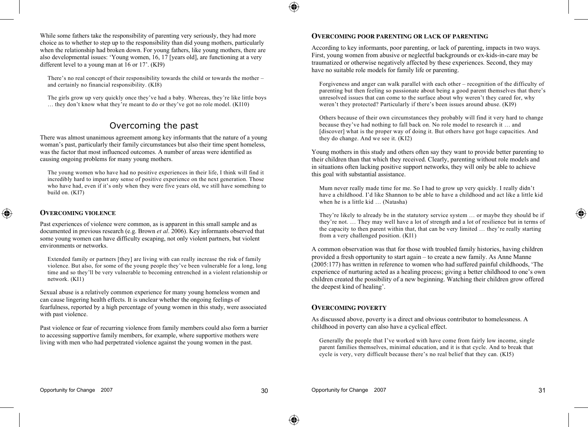While some fathers take the responsibility of parenting very seriously, they had more choice as to whether to step up to the responsibility than did young mothers, particularly when the relationship had broken down. For young fathers, like young mothers, there are also developmental issues: 'Young women, 16, 17 [years old], are functioning at a very different level to a young man at 16 or 17'. (KI9)

There's no real concept of their responsibility towards the child or towards the mother  $$ and certainly no financial responsibility. (KI8)

The girls grow up very quickly once they've had a baby. Whereas, they're like little boys … they don't know what they're meant to do or they've got no role model. (KI10)

## Overcoming the past

There was almost unanimous agreement among key informants that the nature of a young woman's past, particularly their family circumstances but also their time spent homeless, was the factor that most influenced outcomes. A number of areas were identified as causing ongoing problems for many young mothers.

The young women who have had no positive experiences in their life, I think will find it incredibly hard to impart any sense of positive experience on the next generation. Those who have had, even if it's only when they were five years old, we still have something to build on. (KI7)

#### **OVERCOMING VIOLENCE**

◈

Past experiences of violence were common, as is apparent in this small sample and as documented in previous research (e.g. Brown *et al*. 2006). Key informants observed that some young women can have difficulty escaping, not only violent partners, but violent environments or networks.

Extended family or partners [they] are living with can really increase the risk of family violence. But also, for some of the young people they've been vulnerable for a long, long time and so they'll be very vulnerable to becoming entrenched in a violent relationship or network. (KI1)

Sexual abuse is a relatively common experience for many young homeless women and can cause lingering health effects. It is unclear whether the ongoing feelings of fearfulness, reported by a high percentage of young women in this study, were associated with past violence.

Past violence or fear of recurring violence from family members could also form a barrier to accessing supportive family members, for example, where supportive mothers were living with men who had perpetrated violence against the young women in the past.

#### **OVERCOMING POOR PARENTING OR LACK OF PARENTING**

According to key informants, poor parenting, or lack of parenting, impacts in two ways. First, young women from abusive or neglectful backgrounds or ex-kids-in-care may be traumatized or otherwise negatively affected by these experiences. Second, they may have no suitable role models for family life or parenting.

Forgiveness and anger can walk parallel with each other – recognition of the difficulty of parenting but then feeling so passionate about being a good parent themselves that there's unresolved issues that can come to the surface about why weren't they cared for, why weren't they protected? Particularly if there's been issues around abuse. (KI9)

Others because of their own circumstances they probably will find it very hard to change because they've had nothing to fall back on. No role model to research it … and [discover] what is the proper way of doing it. But others have got huge capacities. And they do change. And we see it. (KI2)

Young mothers in this study and others often say they want to provide better parenting to their children than that which they received. Clearly, parenting without role models and in situations often lacking positive support networks, they will only be able to achieve this goal with substantial assistance.

Mum never really made time for me. So I had to grow up very quickly. I really didn't have a childhood. I'd like Shannon to be able to have a childhood and act like a little kid when he is a little kid ... (Natasha)

They're likely to already be in the statutory service system … or maybe they should be if they're not. … They may well have a lot of strength and a lot of resilience but in terms of the capacity to then parent within that, that can be very limited … they're really starting from a very challenged position. (KI1)

A common observation was that for those with troubled family histories, having children provided a fresh opportunity to start again – to create a new family. As Anne Manne (2005:177) has written in reference to women who had suffered painful childhoods, 'The experience of nurturing acted as a healing process; giving a better childhood to one's own children created the possibility of a new beginning. Watching their children grow offered the deepest kind of healing'.

#### **OVERCOMING POVERTY**

As discussed above, poverty is a direct and obvious contributor to homelessness. A childhood in poverty can also have a cyclical effect.

Generally the people that I've worked with have come from fairly low income, single parent families themselves, minimal education, and it is that cycle. And to break that cycle is very, very difficult because there's no real belief that they can. (KI5)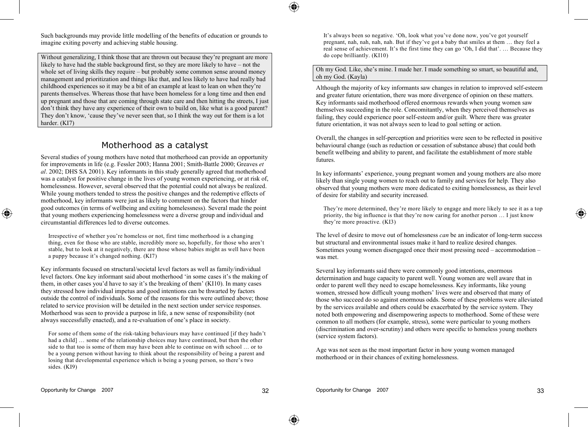Such backgrounds may provide little modelling of the benefits of education or grounds to imagine exiting poverty and achieving stable housing.

Without generalizing, I think those that are thrown out because they're pregnant are more likely to have had the stable background first, so they are more likely to have – not the whole set of living skills they require – but probably some common sense around money management and prioritization and things like that, and less likely to have had really bad childhood experiences so it may be a bit of an example at least to lean on when they're parents themselves. Whereas those that have been homeless for a long time and then end up pregnant and those that are coming through state care and then hitting the streets, I just don't think they have any experience of their own to build on, like what is a good parent? They don't know, 'cause they've never seen that, so I think the way out for them is a lot harder. (KI7)

## Motherhood as a catalyst

Several studies of young mothers have noted that motherhood can provide an opportunity for improvements in life (e.g. Fessler 2003; Hanna 2001; Smith-Battle 2000; Greaves *et al*. 2002; DHS SA 2001). Key informants in this study generally agreed that motherhood was a catalyst for positive change in the lives of young women experiencing, or at risk of, homelessness. However, several observed that the potential could not always be realized. While young mothers tended to stress the positive changes and the redemptive effects of motherhood, key informants were just as likely to comment on the factors that hinder good outcomes (in terms of wellbeing and exiting homelessness). Several made the point that young mothers experiencing homelessness were a diverse group and individual and circumstantial differences led to diverse outcomes.

Irrespective of whether you're homeless or not, first time motherhood is a changing thing, even for those who are stable, incredibly more so, hopefully, for those who aren't stable, but to look at it negatively, there are those whose babies might as well have been a puppy because it's changed nothing. (KI7)

Key informants focused on structural/societal level factors as well as family/individual level factors. One key informant said about motherhood 'in some cases it's the making of them, in other cases you'd have to say it's the breaking of them' (KI10). In many cases they stressed how individual impetus and good intentions can be thwarted by factors outside the control of individuals. Some of the reasons for this were outlined above; those related to service provision will be detailed in the next section under service responses. Motherhood was seen to provide a purpose in life, a new sense of responsibility (not always successfully enacted), and a re-evaluation of one's place in society.

For some of them some of the risk-taking behaviours may have continued [if they hadn't had a child] some of the relationship choices may have continued, but then the other side to that too is some of them may have been able to continue on with school … or to be a young person without having to think about the responsibility of being a parent and losing that developmental experience which is being a young person, so there's two sides. (KI9)

It's always been so negative. 'Oh, look what you've done now, you've got yourself pregnant, nah, nah, nah, nah. But if they've got a baby that smiles at them … they feel a real sense of achievement. It's the first time they can go 'Oh, I did that'. … Because they do cope brilliantly. (KI10)

#### Oh my God. Like, she's mine. I made her. I made something so smart, so beautiful and, oh my God. (Kayla)

Although the majority of key informants saw changes in relation to improved self-esteem and greater future orientation, there was more divergence of opinion on these matters. Key informants said motherhood offered enormous rewards when young women saw themselves succeeding in the role. Concomitantly, when they perceived themselves as failing, they could experience poor self-esteem and/or guilt. Where there was greater future orientation, it was not always seen to lead to goal setting or action.

Overall, the changes in self-perception and priorities were seen to be reflected in positive behavioural change (such as reduction or cessation of substance abuse) that could both benefit wellbeing and ability to parent, and facilitate the establishment of more stable futures.

In key informants' experience, young pregnant women and young mothers are also more likely than single young women to reach out to family and services for help. They also observed that young mothers were more dedicated to exiting homelessness, as their level of desire for stability and security increased.

They're more determined, they're more likely to engage and more likely to see it as a top priority, the big influence is that they're now caring for another person … I just know they're more proactive. (KI3)

The level of desire to move out of homelessness *can* be an indicator of long-term success but structural and environmental issues make it hard to realize desired changes. Sometimes young women disengaged once their most pressing need – accommodation – was met.

Several key informants said there were commonly good intentions, enormous determination and huge capacity to parent well. Young women are well aware that in order to parent well they need to escape homelessness. Key informants, like young women, stressed how difficult young mothers' lives were and observed that many of those who succeed do so against enormous odds. Some of these problems were alleviated by the services available and others could be exacerbated by the service system. They noted both empowering and disempowering aspects to motherhood. Some of these were common to all mothers (for example, stress), some were particular to young mothers (discrimination and over-scrutiny) and others were specific to homeless young mothers (service system factors).

Age was not seen as the most important factor in how young women managed motherhood or in their chances of exiting homelessness.

◈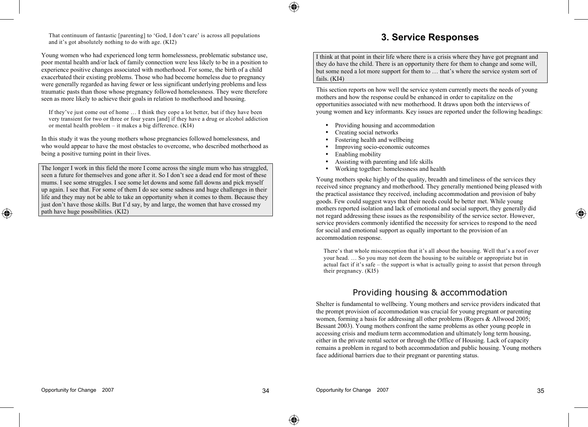That continuum of fantastic [parenting] to 'God, I don't care' is across all populations and it's got absolutely nothing to do with age. (KI2)

Young women who had experienced long term homelessness, problematic substance use, poor mental health and/or lack of family connection were less likely to be in a position to experience positive changes associated with motherhood. For some, the birth of a child exacerbated their existing problems. Those who had become homeless due to pregnancy were generally regarded as having fewer or less significant underlying problems and less traumatic pasts than those whose pregnancy followed homelessness. They were therefore seen as more likely to achieve their goals in relation to motherhood and housing.

If they've just come out of home I think they cope a lot better, but if they have been very transient for two or three or four years [and] if they have a drug or alcohol addiction or mental health problem – it makes a big difference. (KI4)

In this study it was the young mothers whose pregnancies followed homelessness, and who would appear to have the most obstacles to overcome, who described motherhood as being a positive turning point in their lives.

The longer I work in this field the more I come across the single mum who has struggled, seen a future for themselves and gone after it. So I don't see a dead end for most of these mums. I see some struggles. I see some let downs and some fall downs and pick myself up again. I see that. For some of them I do see some sadness and huge challenges in their life and they may not be able to take an opportunity when it comes to them. Because they just don't have those skills. But I'd say, by and large, the women that have crossed my path have huge possibilities. (KI2)

## **3. Service Responses**

I think at that point in their life where there is a crisis where they have got pregnant and they do have the child. There is an opportunity there for them to change and some will, but some need a lot more support for them to … that's where the service system sort of fails. (KI4)

This section reports on how well the service system currently meets the needs of young mothers and how the response could be enhanced in order to capitalize on the opportunities associated with new motherhood. It draws upon both the interviews of young women and key informants. Key issues are reported under the following headings:

- Providing housing and accommodation
- Creating social networks
- Fostering health and wellbeing
- Improving socio-economic outcomes
- Enabling mobility
- Assisting with parenting and life skills
- Working together: homelessness and health

Young mothers spoke highly of the quality, breadth and timeliness of the services they received since pregnancy and motherhood. They generally mentioned being pleased with the practical assistance they received, including accommodation and provision of baby goods. Few could suggest ways that their needs could be better met. While young mothers reported isolation and lack of emotional and social support, they generally did not regard addressing these issues as the responsibility of the service sector. However, service providers commonly identified the necessity for services to respond to the need for social and emotional support as equally important to the provision of an accommodation response.

There's that whole misconception that it's all about the housing. Well that's a roof over your head. … So you may not deem the housing to be suitable or appropriate but in actual fact if it's safe – the support is what is actually going to assist that person through their pregnancy. (KI5)

## Providing housing & accommodation

Shelter is fundamental to wellbeing. Young mothers and service providers indicated that the prompt provision of accommodation was crucial for young pregnant or parenting women, forming a basis for addressing all other problems (Rogers & Allwood 2005; Bessant 2003). Young mothers confront the same problems as other young people in accessing crisis and medium term accommodation and ultimately long term housing, either in the private rental sector or through the Office of Housing. Lack of capacity remains a problem in regard to both accommodation and public housing. Young mothers face additional barriers due to their pregnant or parenting status.

◈

⊕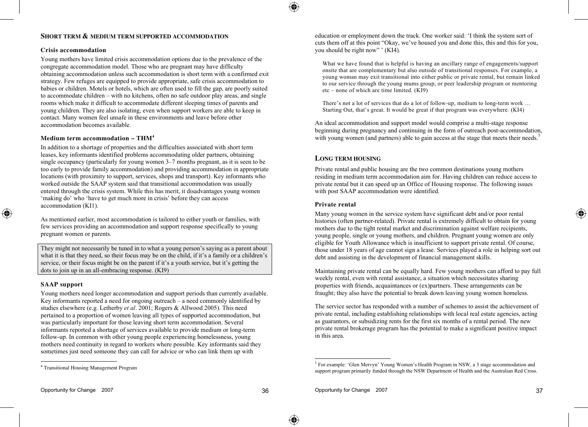### **SHORT TERM & MEDIUM TERM SUPPORTED ACCOMMODATION**

#### **Crisis accommodation**

Young mothers have limited crisis accommodation options due to the prevalence of the congregate accommodation model. Those who are pregnant may have difficulty obtaining accommodation unless such accommodation is short term with a confirmed exit strategy. Few refuges are equipped to provide appropriate, safe crisis accommodation to babies or children. Motels or hotels, which are often used to fill the gap, are poorly suited to accommodate children – with no kitchens, often no safe outdoor play areas, and single rooms which make it difficult to accommodate different sleeping times of parents and young children. They are also isolating, even when support workers are able to keep in contact. Many women feel unsafe in these environments and leave before other accommodation becomes available.

#### **Medium term accommodation – THM4**

In addition to a shortage of properties and the difficulties associated with short term leases, key informants identified problems accommodating older partners, obtaining single occupancy (particularly for young women 3–7 months pregnant, as it is seen to be too early to provide family accommodation) and providing accommodation in appropriate locations (with proximity to support, services, shops and transport). Key informants who worked outside the SAAP system said that transitional accommodation was usually entered through the crisis system. While this has merit, it disadvantages young women 'making do' who 'have to get much more in crisis' before they can access accommodation (KI1).

As mentioned earlier, most accommodation is tailored to either youth or families, with few services providing an accommodation and support response specifically to young pregnant women or parents.

They might not necessarily be tuned in to what a young person's saying as a parent about what it is that they need, so their focus may be on the child, if it's a family or a children's service, or their focus might be on the parent if it's a youth service, but it's getting the dots to join up in an all-embracing response. (KI9)

#### **SAAP support**

◈

Young mothers need longer accommodation and support periods than currently available. Key informants reported a need for ongoing outreach – a need commonly identified by studies elsewhere (e.g. Letherby *et al*. 2001; Rogers & Allwood 2005). This need pertained to a proportion of women leaving all types of supported accommodation, but was particularly important for those leaving short term accommodation. Several informants reported a shortage of services available to provide medium or long-term follow-up. In common with other young people experiencing homelessness, young mothers need continuity in regard to workers where possible. Key informants said they sometimes just need someone they can call for advice or who can link them up with

education or employment down the track. One worker said: 'I think the system sort of cuts them off at this point "Okay, we've housed you and done this, this and this for you, you should be right now" ' (KI4).

What we have found that is helpful is having an ancillary range of engagements/support onsite that are complementary but also outside of transitional responses. For example, a young woman may exit transitional into either public or private rental, but remain linked to our service through the young mums group, or peer leadership program or mentoring etc – none of which are time limited.  $(KI9)$ 

There's not a lot of services that do a lot of follow-up, medium to long-term work … Starting Out, that's great. It would be great if that program was everywhere. (KI4)

An ideal accommodation and support model would comprise a multi-stage response beginning during pregnancy and continuing in the form of outreach post-accommodation, with young women (and partners) able to gain access at the stage that meets their needs.<sup>5</sup>

#### **LONG TERM HOUSING**

Private rental and public housing are the two common destinations young mothers residing in medium term accommodation aim for. Having children can reduce access to private rental but it can speed up an Office of Housing response. The following issues with post SAAP accommodation were identified.

#### **Private rental**

Many young women in the service system have significant debt and/or poor rental histories (often partner-related). Private rental is extremely difficult to obtain for young mothers due to the tight rental market and discrimination against welfare recipients, young people, single or young mothers, and children. Pregnant young women are only eligible for Youth Allowance which is insufficient to support private rental. Of course, those under 18 years of age cannot sign a lease. Services played a role in helping sort out debt and assisting in the development of financial management skills.

Maintaining private rental can be equally hard. Few young mothers can afford to pay full weekly rental, even with rental assistance, a situation which necessitates sharing properties with friends, acquaintances or (ex)partners. These arrangements can be fraught; they also have the potential to break down leaving young women homeless.

The service sector has responded with a number of schemes to assist the achievement of private rental, including establishing relationships with local real estate agencies, acting as guarantors, or subsidizing rents for the first six months of a rental period. The new private rental brokerage program has the potential to make a significant positive impact in this area.

<sup>4</sup> Transitional Housing Management Program

<sup>&</sup>lt;sup>5</sup> For example: 'Glen Mervyn' Young Women's Health Program in NSW, a 3 stage accommodation and support program primarily funded through the NSW Department of Health and the Australian Red Cross.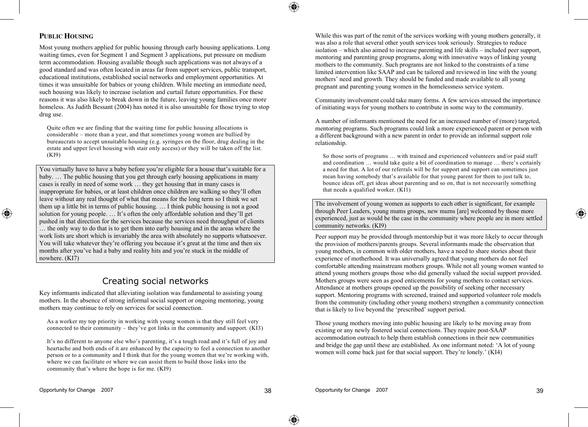

### **PUBLIC HOUSING**

◈

Most young mothers applied for public housing through early housing applications. Long waiting times, even for Segment 1 and Segment 3 applications, put pressure on medium term accommodation. Housing available though such applications was not always of a good standard and was often located in areas far from support services, public transport, educational institutions, established social networks and employment opportunities. At times it was unsuitable for babies or young children. While meeting an immediate need, such housing was likely to increase isolation and curtail future opportunities. For these reasons it was also likely to break down in the future, leaving young families once more homeless. As Judith Bessant (2004) has noted it is also unsuitable for those trying to stop drug use.

Quite often we are finding that the waiting time for public housing allocations is considerable – more than a year, and that sometimes young women are bullied by bureaucrats to accept unsuitable housing (e.g. syringes on the floor, drug dealing in the estate and upper level housing with stair only access) or they will be taken off the list. (KI9)

You virtually have to have a baby before you're eligible for a house that's suitable for a baby. … The public housing that you get through early housing applications in many cases is really in need of some work … they get housing that in many cases is inappropriate for babies, or at least children once children are walking so they'll often leave without any real thought of what that means for the long term so I think we set them up a little bit in terms of public housing. … I think public housing is not a good solution for young people. … It's often the only affordable solution and they'll get pushed in that direction for the services because the services need throughput of clients … the only way to do that is to get them into early housing and in the areas where the work lists are short which is invariably the area with absolutely no supports whatsoever. You will take whatever they're offering you because it's great at the time and then six months after you've had a baby and reality hits and you're stuck in the middle of nowhere. (KI7)

## Creating social networks

Key informants indicated that alleviating isolation was fundamental to assisting young mothers. In the absence of strong informal social support or ongoing mentoring, young mothers may continue to rely on services for social connection.

As a worker my top priority in working with young women is that they still feel very connected to their community – they've got links in the community and support. (KI3)

It's no different to anyone else who's parenting, it's a tough road and it's full of joy and heartache and both ends of it are enhanced by the capacity to feel a connection to another person or to a community and I think that for the young women that we're working with, where we can facilitate or where we can assist them to build those links into the community that's where the hope is for me. (KI9)

While this was part of the remit of the services working with young mothers generally, it was also a role that several other youth services took seriously. Strategies to reduce isolation – which also aimed to increase parenting and life skills – included peer support, mentoring and parenting group programs, along with innovative ways of linking young mothers to the community. Such programs are not linked to the constraints of a time limited intervention like SAAP and can be tailored and reviewed in line with the young mothers' need and growth. They should be funded and made available to all young pregnant and parenting young women in the homelessness service system.

Community involvement could take many forms. A few services stressed the importance of initiating ways for young mothers to contribute in some way to the community.

A number of informants mentioned the need for an increased number of (more) targeted, mentoring programs. Such programs could link a more experienced parent or person with a different background with a new parent in order to provide an informal support role relationship.

So those sorts of programs … with trained and experienced volunteers and/or paid staff and coordination … would take quite a bit of coordination to manage … there's certainly a need for that. A lot of our referrals will be for support and support can sometimes just mean having somebody that's available for that young parent for them to just talk to, bounce ideas off, get ideas about parenting and so on, that is not necessarily something that needs a qualified worker.  $(KI1)$ 

The involvement of young women as supports to each other is significant, for example through Peer Leaders, young mums groups, new mums [are] welcomed by those more experienced, just as would be the case in the community where people are in more settled community networks. (KI9)

Peer support may be provided through mentorship but it was more likely to occur through the provision of mothers/parents groups. Several informants made the observation that young mothers, in common with older mothers, have a need to share stories about their experience of motherhood. It was universally agreed that young mothers do not feel comfortable attending mainstream mothers groups. While not all young women wanted to attend young mothers groups those who did generally valued the social support provided. Mothers groups were seen as good enticements for young mothers to contact services. Attendance at mothers groups opened up the possibility of seeking other necessary support. Mentoring programs with screened, trained and supported volunteer role models from the community (including other young mothers) strengthen a community connection that is likely to live beyond the 'prescribed' support period.

Those young mothers moving into public housing are likely to be moving away from existing or any newly fostered social connections. They require post-SAAP accommodation outreach to help them establish connections in their new communities and bridge the gap until these are established. As one informant noted: 'A lot of young women will come back just for that social support. They're lonely.' (KI4)

⊕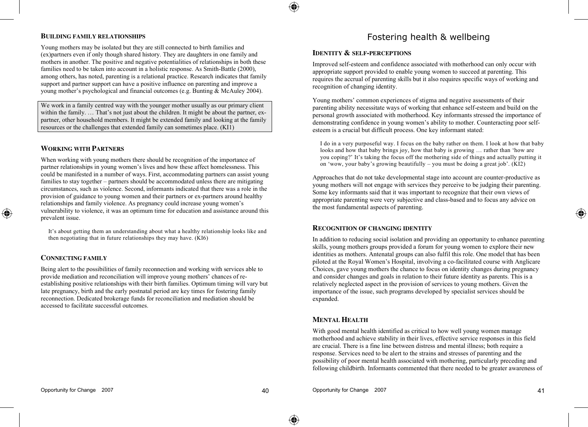#### **BUILDING FAMILY RELATIONSHIPS**

Young mothers may be isolated but they are still connected to birth families and (ex)partners even if only though shared history. They are daughters in one family and mothers in another. The positive and negative potentialities of relationships in both these families need to be taken into account in a holistic response. As Smith-Battle (2000), among others, has noted, parenting is a relational practice. Research indicates that family support and partner support can have a positive influence on parenting and improve a young mother's psychological and financial outcomes (e.g. Bunting & McAuley 2004).

We work in a family centred way with the younger mother usually as our primary client within the family. ... That's not just about the children. It might be about the partner, expartner, other household members. It might be extended family and looking at the family resources or the challenges that extended family can sometimes place. (KI1)

#### **WORKING WITH PARTNERS**

When working with young mothers there should be recognition of the importance of partner relationships in young women's lives and how these affect homelessness. This could be manifested in a number of ways. First, accommodating partners can assist young families to stay together – partners should be accommodated unless there are mitigating circumstances, such as violence. Second, informants indicated that there was a role in the provision of guidance to young women and their partners or ex-partners around healthy relationships and family violence. As pregnancy could increase young women's vulnerability to violence, it was an optimum time for education and assistance around this prevalent issue.

It's about getting them an understanding about what a healthy relationship looks like and then negotiating that in future relationships they may have. (KI6)

#### **CONNECTING FAMILY**

◈

Being alert to the possibilities of family reconnection and working with services able to provide mediation and reconciliation will improve young mothers' chances of reestablishing positive relationships with their birth families. Optimum timing will vary but late pregnancy, birth and the early postnatal period are key times for fostering family reconnection. Dedicated brokerage funds for reconciliation and mediation should be accessed to facilitate successful outcomes.

## Fostering health & wellbeing

#### **IDENTITY & SELF-PERCEPTIONS**

Improved self-esteem and confidence associated with motherhood can only occur with appropriate support provided to enable young women to succeed at parenting. This requires the accrual of parenting skills but it also requires specific ways of working and recognition of changing identity.

Young mothers' common experiences of stigma and negative assessments of their parenting ability necessitate ways of working that enhance self-esteem and build on the personal growth associated with motherhood. Key informants stressed the importance of demonstrating confidence in young women's ability to mother. Counteracting poor selfesteem is a crucial but difficult process. One key informant stated:

I do in a very purposeful way. I focus on the baby rather on them. I look at how that baby looks and how that baby brings joy, how that baby is growing … rather than 'how are you coping?' It's taking the focus off the mothering side of things and actually putting it on 'wow, your baby's growing beautifully – you must be doing a great job'. (KI2)

Approaches that do not take developmental stage into account are counter-productive as young mothers will not engage with services they perceive to be judging their parenting. Some key informants said that it was important to recognize that their own views of appropriate parenting were very subjective and class-based and to focus any advice on the most fundamental aspects of parenting.

#### **RECOGNITION OF CHANGING IDENTITY**

In addition to reducing social isolation and providing an opportunity to enhance parenting skills, young mothers groups provided a forum for young women to explore their new identities as mothers. Antenatal groups can also fulfil this role. One model that has been piloted at the Royal Women's Hospital, involving a co-facilitated course with Anglicare Choices, gave young mothers the chance to focus on identity changes during pregnancy and consider changes and goals in relation to their future identity as parents. This is a relatively neglected aspect in the provision of services to young mothers. Given the importance of the issue, such programs developed by specialist services should be expanded.

#### **MENTAL HEALTH**

With good mental health identified as critical to how well young women manage motherhood and achieve stability in their lives, effective service responses in this field are crucial. There is a fine line between distress and mental illness; both require a response. Services need to be alert to the strains and stresses of parenting and the possibility of poor mental health associated with mothering, particularly preceding and following childbirth. Informants commented that there needed to be greater awareness of ⊕

♠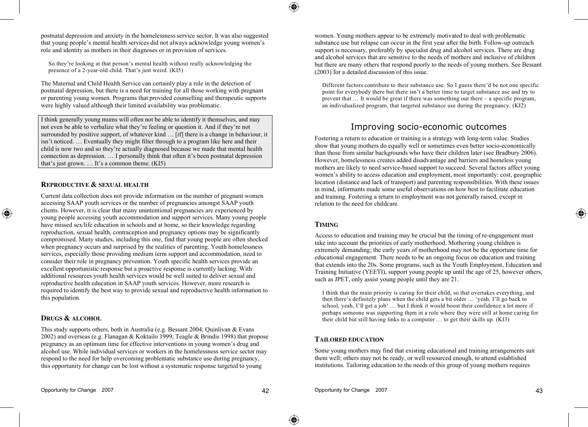postnatal depression and anxiety in the homelessness service sector. It was also suggested that young people's mental health services did not always acknowledge young women's role and identity as mothers in their diagnoses or in provision of services.

So they're looking at that person's mental health without really acknowledging the presence of a 2-year-old child. That's just weird. (KI5)

The Maternal and Child Health Service can certainly play a role in the detection of postnatal depression, but there is a need for training for all those working with pregnant or parenting young women. Programs that provided counselling and therapeutic supports were highly valued although their limited availability was problematic.

I think generally young mums will often not be able to identify it themselves, and may not even be able to verbalize what they're feeling or question it. And if they're not surrounded by positive support, of whatever kind … [if] there is a change in behaviour, it isn't noticed. … Eventually they might filter through to a program like here and their child is now two and so they're actually diagnosed because we made that mental health connection as depression. … I personally think that often it's been postnatal depression that's just grown. … It's a common theme. (KI5)

#### **REPRODUCTIVE & SEXUAL HEALTH**

Current data collection does not provide information on the number of pregnant women accessing SAAP youth services or the number of pregnancies amongst SAAP youth clients. However, it is clear that many unintentional pregnancies are experienced by young people accessing youth accommodation and support services. Many young people have missed sex/life education in schools and at home, so their knowledge regarding reproduction, sexual health, contraception and pregnancy options may be significantly compromised. Many studies, including this one, find that young people are often shocked when pregnancy occurs and surprised by the realities of parenting. Youth homelessness services, especially those providing medium term support and accommodation, need to consider their role in pregnancy prevention. Youth specific health services provide an excellent opportunistic response but a proactive response is currently lacking. With additional resources youth health services would be well suited to deliver sexual and reproductive health education in SAAP youth services. However, more research is required to identify the best way to provide sexual and reproductive health information to this population.

#### **DRUGS & ALCOHOL**

◈

This study supports others, both in Australia (e.g. Bessant 2004; Quinlivan & Evans 2002) and overseas (e.g. Flanagan & Koktailo 1999; Teagle & Brindis 1998) that propose pregnancy as an optimum time for effective interventions in young women's drug and alcohol use. While individual services or workers in the homelessness service sector may respond to the need for help overcoming problematic substance use during pregnancy, this opportunity for change can be lost without a systematic response targeted to young

women. Young mothers appear to be extremely motivated to deal with problematic substance use but relapse can occur in the first year after the birth. Follow-up outreach support is necessary, preferably by specialist drug and alcohol services. There are drug and alcohol services that are sensitive to the needs of mothers and inclusive of children but there are many others that respond poorly to the needs of young mothers. See Bessant (2003) for a detailed discussion of this issue.

Different factors contribute to their substance use. So I guess there'd be not one specific point for everybody there but there isn't a better time to target substance use and try to prevent that … It would be great if there was something out there – a specific program, an individualized program, that targeted substance use during the pregnancy. (KI2)

## Improving socio-economic outcomes

Fostering a return to education or training is a strategy with long-term value. Studies show that young mothers do equally well or sometimes even better socio-economically than those from similar backgrounds who have their children later (see Bradbury 2006). However, homelessness creates added disadvantage and barriers and homeless young mothers are likely to need service-based support to succeed. Several factors affect young women's ability to access education and employment, most importantly: cost, geographic location (distance and lack of transport) and parenting responsibilities. With these issues in mind, informants made some useful observations on how best to facilitate education and training. Fostering a return to employment was not generally raised, except in relation to the need for childcare.

#### **TIMING**

Access to education and training may be crucial but the timing of re-engagement must take into account the priorities of early motherhood. Mothering young children is extremely demanding; the early years of motherhood may not be the opportune time for educational engagement. There needs to be an ongoing focus on education and training that extends into the 20s. Some programs, such as the Youth Employment, Education and Training Initiative (YEETI), support young people up until the age of 25, however others, such as JPET, only assist young people until they are 21.

I think that the main priority is caring for their child, so that overtakes everything, and then there's definitely plans when the child gets a bit older … 'yeah, I'll go back to school, yeah, I'll get a job' … but I think it would boost their confidence a lot more if perhaps someone was supporting them in a role where they were still at home caring for their child but still having links to a computer … to get their skills up. (KI3)

#### **TAILORED EDUCATION**

Some young mothers may find that existing educational and training arrangements suit them well; others may not be ready, or well resourced enough, to attend established institutions. Tailoring education to the needs of this group of young mothers requires

⊕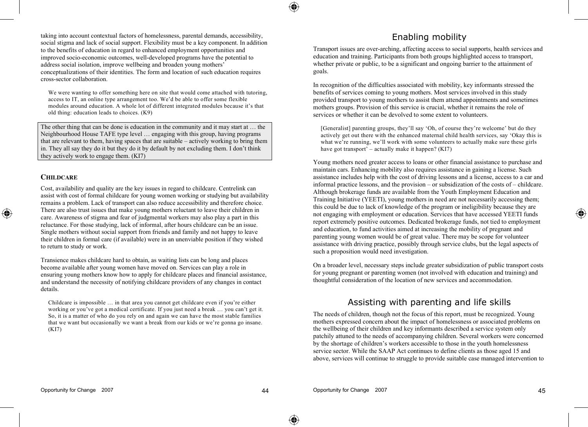taking into account contextual factors of homelessness, parental demands, accessibility, social stigma and lack of social support. Flexibility must be a key component. In addition to the benefits of education in regard to enhanced employment opportunities and improved socio-economic outcomes, well-developed programs have the potential to address social isolation, improve wellbeing and broaden young mothers' conceptualizations of their identities. The form and location of such education requires cross-sector collaboration.

We were wanting to offer something here on site that would come attached with tutoring, access to IT, an online type arrangement too. We'd be able to offer some flexible modules around education. A whole lot of different integrated modules because it's that old thing: education leads to choices. (K9)

The other thing that can be done is education in the community and it may start at … the Neighbourhood House TAFE type level … engaging with this group, having programs that are relevant to them, having spaces that are suitable – actively working to bring them in. They all say they do it but they do it by default by not excluding them. I don't think they actively work to engage them. (KI7)

#### **CHILDCARE**

◈

Cost, availability and quality are the key issues in regard to childcare. Centrelink can assist with cost of formal childcare for young women working or studying but availability remains a problem. Lack of transport can also reduce accessibility and therefore choice. There are also trust issues that make young mothers reluctant to leave their children in care. Awareness of stigma and fear of judgmental workers may also play a part in this reluctance. For those studying, lack of informal, after hours childcare can be an issue. Single mothers without social support from friends and family and not happy to leave their children in formal care (if available) were in an unenviable position if they wished to return to study or work.

Transience makes childcare hard to obtain, as waiting lists can be long and places become available after young women have moved on. Services can play a role in ensuring young mothers know how to apply for childcare places and financial assistance, and understand the necessity of notifying childcare providers of any changes in contact details.

Childcare is impossible … in that area you cannot get childcare even if you're either working or you've got a medical certificate. If you just need a break … you can't get it. So, it is a matter of who do you rely on and again we can have the most stable families that we want but occasionally we want a break from our kids or we're gonna go insane. (KI7)

## Enabling mobility

Transport issues are over-arching, affecting access to social supports, health services and education and training. Participants from both groups highlighted access to transport, whether private or public, to be a significant and ongoing barrier to the attainment of goals.

In recognition of the difficulties associated with mobility, key informants stressed the benefits of services coming to young mothers. Most services involved in this study provided transport to young mothers to assist them attend appointments and sometimes mothers groups. Provision of this service is crucial, whether it remains the role of services or whether it can be devolved to some extent to volunteers.

[Generalist] parenting groups, they'll say 'Oh, of course they're welcome' but do they actively get out there with the enhanced maternal child health services, say 'Okay this is what we're running, we'll work with some volunteers to actually make sure these girls have got transport<sup> $\delta$ </sup> – actually make it happen? (KI7)

Young mothers need greater access to loans or other financial assistance to purchase and maintain cars. Enhancing mobility also requires assistance in gaining a license. Such assistance includes help with the cost of driving lessons and a license, access to a car and informal practice lessons, and the provision – or subsidization of the costs of – childcare. Although brokerage funds are available from the Youth Employment Education and Training Initiative (YEETI), young mothers in need are not necessarily accessing them; this could be due to lack of knowledge of the program or ineligibility because they are not engaging with employment or education. Services that have accessed YEETI funds report extremely positive outcomes. Dedicated brokerage funds, not tied to employment and education, to fund activities aimed at increasing the mobility of pregnant and parenting young women would be of great value. There may be scope for volunteer assistance with driving practice, possibly through service clubs, but the legal aspects of such a proposition would need investigation.

On a broader level, necessary steps include greater subsidization of public transport costs for young pregnant or parenting women (not involved with education and training) and thoughtful consideration of the location of new services and accommodation.

## Assisting with parenting and life skills

The needs of children, though not the focus of this report, must be recognized. Young mothers expressed concern about the impact of homelessness or associated problems on the wellbeing of their children and key informants described a service system only patchily attuned to the needs of accompanying children. Several workers were concerned by the shortage of children's workers accessible to those in the youth homelessness service sector. While the SAAP Act continues to define clients as those aged 15 and above, services will continue to struggle to provide suitable case managed intervention to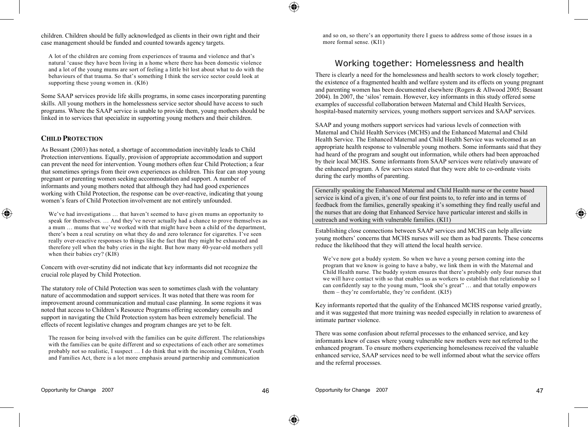children. Children should be fully acknowledged as clients in their own right and their case management should be funded and counted towards agency targets.

A lot of the children are coming from experiences of trauma and violence and that's natural 'cause they have been living in a home where there has been domestic violence and a lot of the young mums are sort of feeling a little bit lost about what to do with the behaviours of that trauma. So that's something I think the service sector could look at supporting these young women in. (KI6)

Some SAAP services provide life skills programs, in some cases incorporating parenting skills. All young mothers in the homelessness service sector should have access to such programs. Where the SAAP service is unable to provide them, young mothers should be linked in to services that specialize in supporting young mothers and their children.

#### **CHILD PROTECTION**

◈

As Bessant (2003) has noted, a shortage of accommodation inevitably leads to Child Protection interventions. Equally, provision of appropriate accommodation and support can prevent the need for intervention. Young mothers often fear Child Protection; a fear that sometimes springs from their own experiences as children. This fear can stop young pregnant or parenting women seeking accommodation and support. A number of informants and young mothers noted that although they had had good experiences working with Child Protection, the response can be over-reactive, indicating that young women's fears of Child Protection involvement are not entirely unfounded.

We've had investigations … that haven't seemed to have given mums an opportunity to speak for themselves. … And they've never actually had a chance to prove themselves as a mum … mums that we've worked with that might have been a child of the department, there's been a real scrutiny on what they do and zero tolerance for cigarettes. I've seen really over-reactive responses to things like the fact that they might be exhausted and therefore yell when the baby cries in the night. But how many 40-year-old mothers yell when their babies cry? (KI8)

Concern with over-scrutiny did not indicate that key informants did not recognize the crucial role played by Child Protection.

The statutory role of Child Protection was seen to sometimes clash with the voluntary nature of accommodation and support services. It was noted that there was room for improvement around communication and mutual case planning. In some regions it was noted that access to Children's Resource Programs offering secondary consults and support in navigating the Child Protection system has been extremely beneficial. The effects of recent legislative changes and program changes are yet to be felt.

The reason for being involved with the families can be quite different. The relationships with the families can be quite different and so expectations of each other are sometimes probably not so realistic, I suspect … I do think that with the incoming Children, Youth and Families Act, there is a lot more emphasis around partnership and communication

and so on, so there's an opportunity there I guess to address some of those issues in a more formal sense. (KI1)

## Working together: Homelessness and health

There is clearly a need for the homelessness and health sectors to work closely together; the existence of a fragmented health and welfare system and its effects on young pregnant and parenting women has been documented elsewhere (Rogers & Allwood 2005; Bessant 2004). In 2007, the 'silos' remain. However, key informants in this study offered some examples of successful collaboration between Maternal and Child Health Services, hospital-based maternity services, young mothers support services and SAAP services.

SAAP and young mothers support services had various levels of connection with Maternal and Child Health Services (MCHS) and the Enhanced Maternal and Child Health Service. The Enhanced Maternal and Child Health Service was welcomed as an appropriate health response to vulnerable young mothers. Some informants said that they had heard of the program and sought out information, while others had been approached by their local MCHS. Some informants from SAAP services were relatively unaware of the enhanced program. A few services stated that they were able to co-ordinate visits during the early months of parenting.

Generally speaking the Enhanced Maternal and Child Health nurse or the centre based service is kind of a given, it's one of our first points to, to refer into and in terms of feedback from the families, generally speaking it's something they find really useful and the nurses that are doing that Enhanced Service have particular interest and skills in outreach and working with vulnerable families. (KI1)

Establishing close connections between SAAP services and MCHS can help alleviate young mothers' concerns that MCHS nurses will see them as bad parents. These concerns reduce the likelihood that they will attend the local health service.

We've now got a buddy system. So when we have a young person coming into the program that we know is going to have a baby, we link them in with the Maternal and Child Health nurse. The buddy system ensures that there's probably only four nurses that we will have contact with so that enables us as workers to establish that relationship so I can confidently say to the young mum, "look she's great" … and that totally empowers them – they're comfortable, they're confident. (KI5)

Key informants reported that the quality of the Enhanced MCHS response varied greatly, and it was suggested that more training was needed especially in relation to awareness of intimate partner violence.

There was some confusion about referral processes to the enhanced service, and key informants knew of cases where young vulnerable new mothers were not referred to the enhanced program. To ensure mothers experiencing homelessness received the valuable enhanced service, SAAP services need to be well informed about what the service offers and the referral processes.

⊕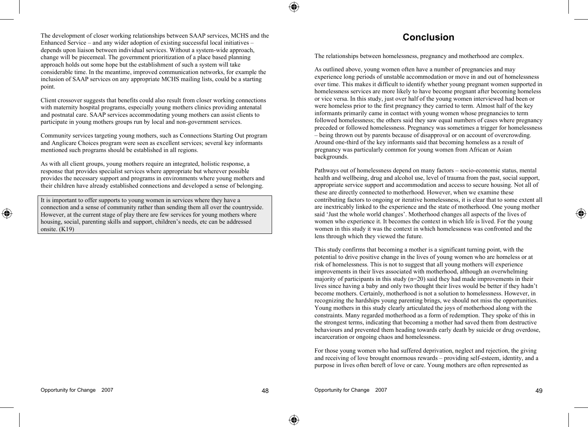The development of closer working relationships between SAAP services, MCHS and the Enhanced Service – and any wider adoption of existing successful local initiatives – depends upon liaison between individual services. Without a system-wide approach, change will be piecemeal. The government prioritization of a place based planning approach holds out some hope but the establishment of such a system will take considerable time. In the meantime, improved communication networks, for example the inclusion of SAAP services on any appropriate MCHS mailing lists, could be a starting point.

Client crossover suggests that benefits could also result from closer working connections with maternity hospital programs, especially young mothers clinics providing antenatal and postnatal care. SAAP services accommodating young mothers can assist clients to participate in young mothers groups run by local and non-government services.

Community services targeting young mothers, such as Connections Starting Out program and Anglicare Choices program were seen as excellent services; several key informants mentioned such programs should be established in all regions.

As with all client groups, young mothers require an integrated, holistic response, a response that provides specialist services where appropriate but wherever possible provides the necessary support and programs in environments where young mothers and their children have already established connections and developed a sense of belonging.

It is important to offer supports to young women in services where they have a connection and a sense of community rather than sending them all over the countryside. However, at the current stage of play there are few services for young mothers where housing, social, parenting skills and support, children's needs, etc can be addressed onsite. (K19)

## **Conclusion**

The relationships between homelessness, pregnancy and motherhood are complex.

As outlined above, young women often have a number of pregnancies and may experience long periods of unstable accommodation or move in and out of homelessness over time. This makes it difficult to identify whether young pregnant women supported in homelessness services are more likely to have become pregnant after becoming homeless or vice versa. In this study, just over half of the young women interviewed had been or were homeless prior to the first pregnancy they carried to term. Almost half of the key informants primarily came in contact with young women whose pregnancies to term followed homelessness; the others said they saw equal numbers of cases where pregnancy preceded or followed homelessness. Pregnancy was sometimes a trigger for homelessness – being thrown out by parents because of disapproval or on account of overcrowding. Around one-third of the key informants said that becoming homeless as a result of pregnancy was particularly common for young women from African or Asian backgrounds.

Pathways out of homelessness depend on many factors – socio-economic status, mental health and wellbeing, drug and alcohol use, level of trauma from the past, social support, appropriate service support and accommodation and access to secure housing. Not all of these are directly connected to motherhood. However, when we examine these contributing factors to ongoing or iterative homelessness, it is clear that to some extent all are inextricably linked to the experience and the state of motherhood. One young mother said 'Just the whole world changes'. Motherhood changes all aspects of the lives of women who experience it. It becomes the context in which life is lived. For the young women in this study it was the context in which homelessness was confronted and the lens through which they viewed the future.

This study confirms that becoming a mother is a significant turning point, with the potential to drive positive change in the lives of young women who are homeless or at risk of homelessness. This is not to suggest that all young mothers will experience improvements in their lives associated with motherhood, although an overwhelming majority of participants in this study  $(n=20)$  said they had made improvements in their lives since having a baby and only two thought their lives would be better if they hadn't become mothers. Certainly, motherhood is not a solution to homelessness. However, in recognizing the hardships young parenting brings, we should not miss the opportunities. Young mothers in this study clearly articulated the joys of motherhood along with the constraints. Many regarded motherhood as a form of redemption. They spoke of this in the strongest terms, indicating that becoming a mother had saved them from destructive behaviours and prevented them heading towards early death by suicide or drug overdose, incarceration or ongoing chaos and homelessness.

For those young women who had suffered deprivation, neglect and rejection, the giving and receiving of love brought enormous rewards – providing self-esteem, identity, and a purpose in lives often bereft of love or care. Young mothers are often represented as

◈

⊕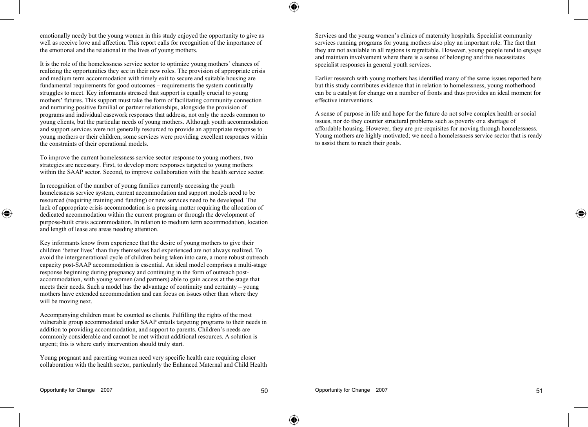◈

emotionally needy but the young women in this study enjoyed the opportunity to give as well as receive love and affection. This report calls for recognition of the importance of the emotional and the relational in the lives of young mothers.

It is the role of the homelessness service sector to optimize young mothers' chances of realizing the opportunities they see in their new roles. The provision of appropriate crisis and medium term accommodation with timely exit to secure and suitable housing are fundamental requirements for good outcomes – requirements the system continually struggles to meet. Key informants stressed that support is equally crucial to young mothers' futures. This support must take the form of facilitating community connection and nurturing positive familial or partner relationships, alongside the provision of programs and individual casework responses that address, not only the needs common to young clients, but the particular needs of young mothers. Although youth accommodation and support services were not generally resourced to provide an appropriate response to young mothers or their children, some services were providing excellent responses within the constraints of their operational models.

To improve the current homelessness service sector response to young mothers, two strategies are necessary. First, to develop more responses targeted to young mothers within the SAAP sector. Second, to improve collaboration with the health service sector.

In recognition of the number of young families currently accessing the youth homelessness service system, current accommodation and support models need to be resourced (requiring training and funding) or new services need to be developed. The lack of appropriate crisis accommodation is a pressing matter requiring the allocation of dedicated accommodation within the current program or through the development of purpose-built crisis accommodation. In relation to medium term accommodation, location and length of lease are areas needing attention.

Key informants know from experience that the desire of young mothers to give their children 'better lives' than they themselves had experienced are not always realized. To avoid the intergenerational cycle of children being taken into care, a more robust outreach capacity post-SAAP accommodation is essential. An ideal model comprises a multi-stage response beginning during pregnancy and continuing in the form of outreach postaccommodation, with young women (and partners) able to gain access at the stage that meets their needs. Such a model has the advantage of continuity and certainty – young mothers have extended accommodation and can focus on issues other than where they will be moving next.

Accompanying children must be counted as clients. Fulfilling the rights of the most vulnerable group accommodated under SAAP entails targeting programs to their needs in addition to providing accommodation, and support to parents. Children's needs are commonly considerable and cannot be met without additional resources. A solution is urgent; this is where early intervention should truly start.

Young pregnant and parenting women need very specific health care requiring closer collaboration with the health sector, particularly the Enhanced Maternal and Child Health Services and the young women's clinics of maternity hospitals. Specialist community services running programs for young mothers also play an important role. The fact that they are not available in all regions is regrettable. However, young people tend to engage and maintain involvement where there is a sense of belonging and this necessitates specialist responses in general youth services.

Earlier research with young mothers has identified many of the same issues reported here but this study contributes evidence that in relation to homelessness, young motherhood can be a catalyst for change on a number of fronts and thus provides an ideal moment for effective interventions.

A sense of purpose in life and hope for the future do not solve complex health or social issues, nor do they counter structural problems such as poverty or a shortage of affordable housing. However, they are pre-requisites for moving through homelessness. Young mothers are highly motivated; we need a homelessness service sector that is ready to assist them to reach their goals.

◈

⊕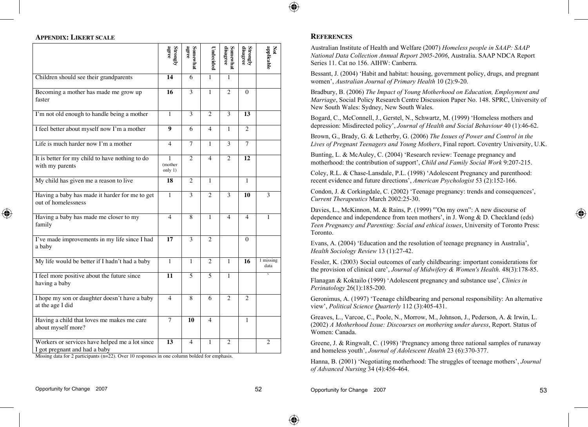

#### **APPENDIX: LIKERT SCALE**

|                                                                                 | agree<br>Strongly        | Somewhat<br>agree | Undecidec      | disagree<br>Somewhat | $\begin{array}{c} \mbox{Strongly} \\ \mbox{disagree} \end{array}$ | applicable<br>Š     |
|---------------------------------------------------------------------------------|--------------------------|-------------------|----------------|----------------------|-------------------------------------------------------------------|---------------------|
| Children should see their grandparents                                          | 14                       | 6                 | 1              | 1                    |                                                                   |                     |
| Becoming a mother has made me grow up<br>faster                                 | 16                       | 3                 | $\mathbf{1}$   | $\overline{c}$       | $\Omega$                                                          |                     |
| I'm not old enough to handle being a mother                                     | 1                        | 3                 | $\overline{c}$ | 3                    | 13                                                                |                     |
| I feel better about myself now I'm a mother                                     | 9                        | 6                 | 4              | $\mathbf{1}$         | $\overline{c}$                                                    |                     |
| Life is much harder now I'm a mother                                            | 4                        | $\overline{7}$    | 1              | 3                    | $\overline{7}$                                                    |                     |
| It is better for my child to have nothing to do<br>with my parents              | 1<br>(mother<br>only 1)  | $\overline{c}$    | 4              | $\overline{c}$       | 12                                                                |                     |
| My child has given me a reason to live                                          | 18                       | $\overline{c}$    | 1              |                      | $\mathbf{1}$                                                      |                     |
| Having a baby has made it harder for me to get<br>out of homelessness           | 1                        | 3                 | $\overline{c}$ | 3                    | 10                                                                | 3                   |
| Having a baby has made me closer to my<br>family                                | $\overline{\mathcal{A}}$ | 8                 | 1              | 4                    | $\overline{4}$                                                    | 1                   |
| I've made improvements in my life since I had<br>a baby                         | 17                       | 3                 | $\overline{c}$ |                      | $\Omega$                                                          |                     |
| My life would be better if I hadn't had a baby                                  | $\mathbf{1}$             | 1                 | $\overline{c}$ | 1                    | 16                                                                | $1$ missing<br>data |
| I feel more positive about the future since<br>having a baby                    | 11                       | 5                 | 5              | 1                    |                                                                   |                     |
| I hope my son or daughter doesn't have a baby<br>at the age I did               | 4                        | 8                 | 6              | $\overline{c}$       | $\overline{c}$                                                    |                     |
| Having a child that loves me makes me care<br>about myself more?                | 7                        | 10                | 4              |                      | 1                                                                 |                     |
| Workers or services have helped me a lot since<br>I got pregnant and had a baby | 13                       | 4                 | 1              | 2                    |                                                                   | 2                   |

Missing data for 2 participants (n=22). Over 10 responses in one column bolded for emphasis.

#### **REFERENCES**

Australian Institute of Health and Welfare (2007) *Homeless people in SAAP: SAAP National Data Collection Annual Report 2005-2006*, Australia. SAAP NDCA Report Series 11. Cat no 156. AIHW: Canberra.

Bessant, J. (2004) 'Habit and habitat: housing, government policy, drugs, and pregnant women', *Australian Journal of Primary Health* 10 (2):9-20.

Bradbury, B. (2006) *The Impact of Young Motherhood on Education, Employment and Marriage*, Social Policy Research Centre Discussion Paper No. 148. SPRC, University of New South Wales: Sydney, New South Wales.

Bogard, C., McConnell, J., Gerstel, N., Schwartz, M. (1999) 'Homeless mothers and depression: Misdirected policy', *Journal of Health and Social Behaviour* 40 (1):46-62.

Brown, G., Brady, G. & Letherby, G. (2006) *The Issues of Power and Control in the Lives of Pregnant Teenagers and Young Mothers*, Final report. Coventry University, U.K.

Bunting, L. & McAuley, C. (2004) 'Research review: Teenage pregnancy and motherhood: the contribution of support', *Child and Family Social Work* 9:207-215.

Coley, R.L. & Chase-Lansdale, P.L. (1998) 'Adolescent Pregnancy and parenthood: recent evidence and future directions', *American Psychologist* 53 (2):152-166.

Condon, J. & Corkingdale, C. (2002) 'Teenage pregnancy: trends and consequences', *Current Therapeutics* March 2002:25-30.

Davies, L., McKinnon, M. & Rains, P. (1999) '"On my own": A new discourse of dependence and independence from teen mothers', in J. Wong & D. Checkland (eds) *Teen Pregnancy and Parenting: Social and ethical issues*, University of Toronto Press: Toronto.

Evans, A. (2004) 'Education and the resolution of teenage pregnancy in Australia', *Health Sociology Review* 13 (1):27-42.

Fessler, K. (2003) Social outcomes of early childbearing: important considerations for the provision of clinical care', *Journal of Midwifery & Women's Health.* 48(3):178-85.

Flanagan & Koktailo (1999) 'Adolescent pregnancy and substance use', *Clinics in Perinatology* 26(1):185-200.

Geronimus, A. (1997) 'Teenage childbearing and personal responsibility: An alternative view', *Political Science Quarterly* 112 (3):405-431.

Greaves, L., Varcoe, C., Poole, N., Morrow, M., Johnson, J., Pederson, A. & Irwin, L. (2002) *A Motherhood Issue: Discourses on mothering under duress*, Report. Status of Women: Canada.

Greene, J. & Ringwalt, C. (1998) 'Pregnancy among three national samples of runaway and homeless youth', *Journal of Adolescent Health* 23 (6):370-377.

Hanna, B. (2001) 'Negotiating motherhood: The struggles of teenage mothers', *Journal of Advanced Nursing* 34 (4):456-464.

◈

Opportunity for Change 2007 53

◈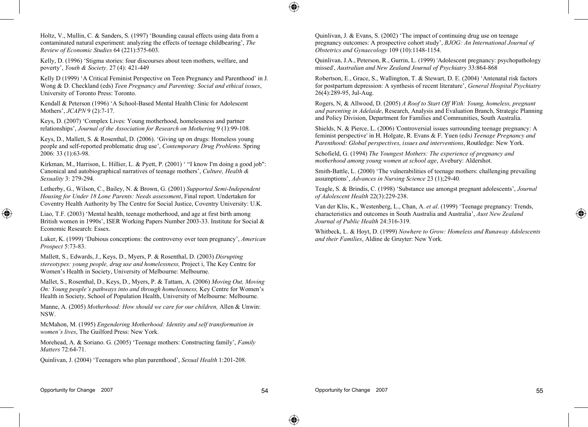Holtz, V., Mullin, C. & Sanders, S. (1997) 'Bounding causal effects using data from a contaminated natural experiment: analyzing the effects of teenage childbearing', *The Review of Economic Studies* 64 (221):575-603.

Kelly, D. (1996) 'Stigma stories: four discourses about teen mothers, welfare, and poverty', *Youth & Society*. 27 (4): 421-449

Kelly D (1999) 'A Critical Feminist Perspective on Teen Pregnancy and Parenthood' in J. Wong & D. Checkland (eds) *Teen Pregnancy and Parenting: Social and ethical issues*, University of Toronto Press: Toronto.

Kendall & Peterson (1996) 'A School-Based Mental Health Clinic for Adolescent Mothers', *JCAPN* 9 (2):7-17.

Keys, D. (2007) 'Complex Lives: Young motherhood, homelessness and partner relationships', *Journal of the Association for Research on Mothering* 9 (1):99-108.

Keys, D., Mallett, S. & Rosenthal, D. (2006). 'Giving up on drugs: Homeless young people and self-reported problematic drug use', *Contemporary Drug Problems.* Spring 2006: 33 (1):63-98.

Kirkman, M., Harrison, L. Hillier, L. & Pyett, P. (2001) ' "I know I'm doing a good job": Canonical and autobiographical narratives of teenage mothers', *Culture, Health & Sexuality* 3: 279-294.

Letherby, G., Wilson, C., Bailey, N. & Brown, G. (2001) *Supported Semi-Independent Housing for Under 18 Lone Parents: Needs assessment*, Final report. Undertaken for Coventry Health Authority by The Centre for Social Justice, Coventry University: U.K.

Liao, T.F. (2003) 'Mental health, teenage motherhood, and age at first birth among British women in 1990s', ISER Working Papers Number 2003-33. Institute for Social & Economic Research: Essex.

Luker, K. (1999) 'Dubious conceptions: the controversy over teen pregnancy', *American Prospect* 5:73-83.

Mallett, S., Edwards, J., Keys, D., Myers, P. & Rosenthal, D. (2003) *Disrupting stereotypes: young people, drug use and homelessness,* Project i, The Key Centre for Women's Health in Society, University of Melbourne: Melbourne.

Mallet, S., Rosenthal, D., Keys, D., Myers, P. & Tattam, A. (2006) *Moving Out, Moving On: Young people's pathways into and through homelessness,* Key Centre for Women's Health in Society, School of Population Health, University of Melbourne: Melbourne.

Manne, A. (2005) *Motherhood: How should we care for our children,* Allen & Unwin: NSW.

McMahon, M. (1995) *Engendering Motherhood: Identity and self transformation in women's lives*, The Guilford Press: New York.

Morehead, A. & Soriano. G. (2005) 'Teenage mothers: Constructing family', *Family Matters* 72:64-71.

Quinlivan, J. (2004) 'Teenagers who plan parenthood', *Sexual Health* 1:201-208.

Quinlivan, J. & Evans, S. (2002) 'The impact of continuing drug use on teenage pregnancy outcomes: A prospective cohort study', *BJOG: An International Journal of Obstetrics and Gynaecology* 109 (10):1148-1154.

Quinlivan, J.A., Peterson, R., Gurrin, L. (1999) 'Adolescent pregnancy: psychopathology missed', *Australian and New Zealand Journal of Psychiatry* 33:864-868

Robertson, E., Grace, S., Wallington, T. & Stewart, D. E. (2004) 'Antenatal risk factors for postpartum depression: A synthesis of recent literature', *General Hospital Psychiatry* 26(4):289-95, Jul-Aug.

Rogers, N, & Allwood, D. (2005) *A Roof to Start Off With: Young, homeless, pregnant and parenting in Adelaide*, Research, Analysis and Evaluation Branch, Strategic Planning and Policy Division, Department for Families and Communities, South Australia.

Shields, N. & Pierce, L. (2006) 'Controversial issues surrounding teenage pregnancy: A feminist perspective' in H. Holgate, R. Evans & F. Yuen (eds*) Teenage Pregnancy and Parenthood: Global perspectives, issues and interventions*, Routledge: New York.

Schofield, G. (1994) *The Youngest Mothers: The experience of pregnancy and motherhood among young women at school age*, Avebury: Aldershot.

Smith-Battle, L. (2000) 'The vulnerabilities of teenage mothers: challenging prevailing assumptions', *Advances in Nursing Science* 23 (1);29-40*.*

Teagle, S. & Brindis, C. (1998) 'Substance use amongst pregnant adolescents', *Journal of Adolescent Health* 22(3):229-238.

Van der Klis, K., Westenberg, L., Chan, A. *et al*. (1999) 'Teenage pregnancy: Trends, characteristics and outcomes in South Australia and Australia', *Aust New Zealand Journal of Public Health* 24:316-319.

Whitbeck, L. & Hoyt, D. (1999) *Nowhere to Grow: Homeless and Runaway Adolescents and their Families*, Aldine de Gruyter: New York.

◈

⊕

♠